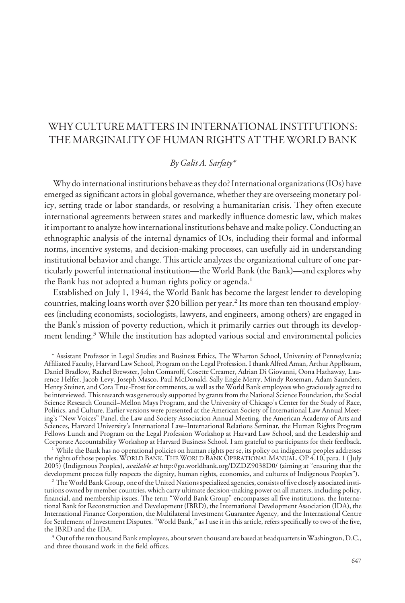# WHY CULTURE MATTERS IN INTERNATIONAL INSTITUTIONS: THE MARGINALITY OF HUMAN RIGHTS AT THE WORLD BANK

# *By Galit A. Sarfaty\**

Why do international institutions behave as they do? International organizations (IOs) have emerged as significant actors in global governance, whether they are overseeing monetary policy, setting trade or labor standards, or resolving a humanitarian crisis. They often execute international agreements between states and markedly influence domestic law, which makes it important to analyze how international institutions behave and make policy. Conducting an ethnographic analysis of the internal dynamics of IOs, including their formal and informal norms, incentive systems, and decision-making processes, can usefully aid in understanding institutional behavior and change. This article analyzes the organizational culture of one particularly powerful international institution—the World Bank (the Bank)—and explores why the Bank has not adopted a human rights policy or agenda.<sup>1</sup>

Established on July 1, 1944, the World Bank has become the largest lender to developing countries, making loans worth over \$20 billion per year.<sup>2</sup> Its more than ten thousand employees (including economists, sociologists, lawyers, and engineers, among others) are engaged in the Bank's mission of poverty reduction, which it primarily carries out through its development lending.3 While the institution has adopted various social and environmental policies

\* Assistant Professor in Legal Studies and Business Ethics, The Wharton School, University of Pennsylvania; Affiliated Faculty, Harvard Law School, Program on the Legal Profession. I thank Alfred Aman, Arthur Applbaum, Daniel Bradlow, Rachel Brewster, John Comaroff, Cosette Creamer, Adrian Di Giovanni, Oona Hathaway, Laurence Helfer, Jacob Levy, Joseph Masco, Paul McDonald, Sally Engle Merry, Mindy Roseman, Adam Saunders, Henry Steiner, and Cora True-Frost for comments, as well as the World Bank employees who graciously agreed to be interviewed. This research was generously supported by grants from the National Science Foundation, the Social Science Research Council–Mellon Mays Program, and the University of Chicago's Center for the Study of Race, Politics, and Culture. Earlier versions were presented at the American Society of International Law Annual Meeting's "New Voices" Panel, the Law and Society Association Annual Meeting, the American Academy of Arts and Sciences, Harvard University's International Law–International Relations Seminar, the Human Rights Program Fellows Lunch and Program on the Legal Profession Workshop at Harvard Law School, and the Leadership and Corporate Accountability Workshop at Harvard Business School. I am grateful to participants for their feedback.

<sup>1</sup> While the Bank has no operational policies on human rights per se, its policy on indigenous peoples addresses the rights of those peoples. WORLD BANK, THE WORLD BANK OPERATIONAL MANUAL, OP 4.10, para. 1 ( July 2005) (Indigenous Peoples), *available at* http://go.worldbank.org/DZDZ9038D0/ (aiming at "ensuring that the development process fully respects the dignity, human rights, economies, and cultures of Indigenous Peoples").

<sup>2</sup> The World Bank Group, one of the United Nations specialized agencies, consists of five closely associated institutions owned by member countries, which carry ultimate decision-making power on all matters, including policy, financial, and membership issues. The term "World Bank Group" encompasses all five institutions, the International Bank for Reconstruction and Development (IBRD), the International Development Association (IDA), the International Finance Corporation, the Multilateral Investment Guarantee Agency, and the International Centre for Settlement of Investment Disputes. "World Bank," as I use it in this article, refers specifically to two of the five, the IBRD and the IDA.

 $3$  Out of the ten thousand Bank employees, about seven thousand are based at headquarters in Washington, D.C., and three thousand work in the field offices.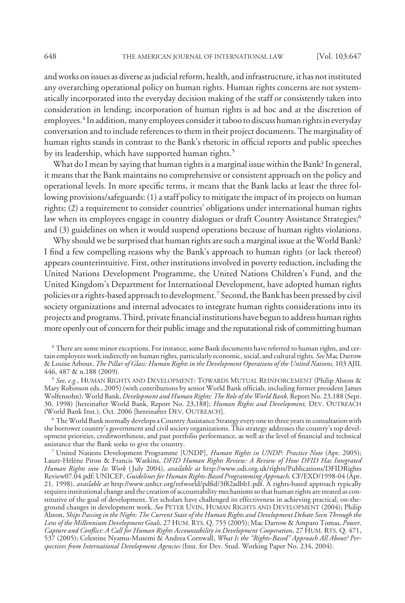and works on issues as diverse as judicial reform, health, and infrastructure, it has not instituted any overarching operational policy on human rights. Human rights concerns are not systematically incorporated into the everyday decision making of the staff or consistently taken into consideration in lending; incorporation of human rights is ad hoc and at the discretion of employees.<sup>4</sup> In addition, many employees consider it taboo to discuss human rights in everyday conversation and to include references to them in their project documents. The marginality of human rights stands in contrast to the Bank's rhetoric in official reports and public speeches by its leadership, which have supported human rights.<sup>5</sup>

What do I mean by saying that human rights is a marginal issue within the Bank? In general, it means that the Bank maintains no comprehensive or consistent approach on the policy and operational levels. In more specific terms, it means that the Bank lacks at least the three following provisions/safeguards: (1) a staff policy to mitigate the impact of its projects on human rights; (2) a requirement to consider countries' obligations under international human rights law when its employees engage in country dialogues or draft Country Assistance Strategies;<sup>6</sup> and (3) guidelines on when it would suspend operations because of human rights violations.

Why should we be surprised that human rights are such a marginal issue at the World Bank? I find a few compelling reasons why the Bank's approach to human rights (or lack thereof) appears counterintuitive. First, other institutions involved in poverty reduction, including the United Nations Development Programme, the United Nations Children's Fund, and the United Kingdom's Department for International Development, have adopted human rights policies or a rights-based approach to development.7 Second, the Bank has been pressed by civil society organizations and internal advocates to integrate human rights considerations into its projects and programs. Third, private financial institutions have begun to address human rights more openly out of concern for their public image and the reputational risk of committing human

<sup>6</sup> The World Bank normally develops a Country Assistance Strategy every one to three years in consultation with the borrower country's government and civil society organizations. This strategy addresses the country's top development priorities, creditworthiness, and past portfolio performance, as well as the level of financial and technical assistance that the Bank seeks to give the country.

<sup>7</sup> United Nations Development Programme [UNDP], *Human Rights in UNDP: Practice Note* (Apr. 2005); Laure-Hélène Piron & Francis Watkins, *DFID Human Rights Review: A Review of How DFID Has Integrated Human Rights into Its Work* ( July 2004), *available at* http://www.odi.org.uk/rights/Publications/DFIDRights Review07.04.pdf; UNICEF, *Guidelines for Human Rights-Based Programming Approach,* CF/EXD/1998-04 (Apr. 21, 1998), *available at* http://www.unhcr.org/refworld/pdfid/3f82adbb1.pdf. A rights-based approach typically requires institutional change and the creation of accountability mechanisms so that human rights are treated as constitutive of the goal of development. Yet scholars have challenged its effectiveness in achieving practical, on-theground changes in development work. *See* PETER UVIN, HUMAN RIGHTS AND DEVELOPMENT (2004); Philip Alston, *Ships Passing in the Night: The Current State of the Human Rights and Development Debate Seen Through the Lens of the Millennium Development Goals*, 27 HUM. RTS. Q. 755 (2005); Mac Darrow & Amparo Tomas, *Power, Capture and Conflict: A Call for Human Rights Accountability in Development Cooperation*, 27 HUM. RTS. Q. 471, 537 (2005); Celestine Nyamu-Musemi & Andrea Cornwall, *What Is the "Rights-Based" Approach All About? Perspectives from International Development Agencies* (Inst. for Dev. Stud. Working Paper No. 234, 2004).

<sup>4</sup> There are some minor exceptions. For instance, some Bank documents have referred to human rights, and certain employees work indirectly on human rights, particularly economic, social, and cultural rights. *See* Mac Darrow & Louise Arbour, *The Pillar of Glass: Human Rights in the Development Operations of the United Nations,* 103 AJIL 446, 487 & n.188 (2009).

<sup>5</sup> *See, e.g.*, HUMAN RIGHTS AND DEVELOPMENT: TOWARDS MUTUAL REINFORCEMENT (Philip Alston & Mary Robinson eds., 2005) (with contributions by senior World Bank officials, including former president James Wolfensohn); World Bank, *Development and Human Rights: The Role of the World Bank,* Report No. 23,188 (Sept. 30, 1998) [hereinafter World Bank, Report No. 23,188]; *Human Rights and Development,* DEV. OUTREACH (World Bank Inst.), Oct. 2006 [hereinafter DEV. OUTREACH].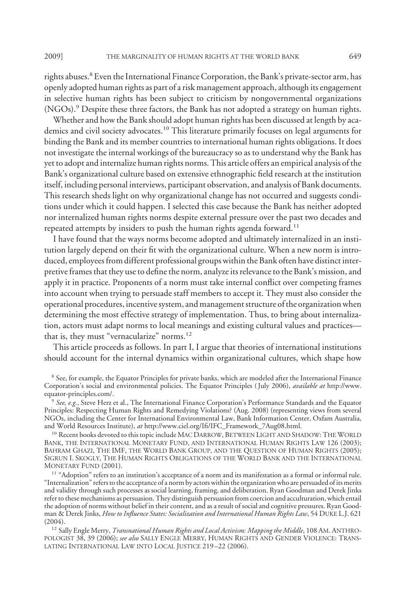rights abuses.<sup>8</sup> Even the International Finance Corporation, the Bank's private-sector arm, has openly adopted human rights as part of a risk management approach, although its engagement in selective human rights has been subject to criticism by nongovernmental organizations (NGOs).9 Despite these three factors, the Bank has not adopted a strategy on human rights.

Whether and how the Bank should adopt human rights has been discussed at length by academics and civil society advocates.<sup>10</sup> This literature primarily focuses on legal arguments for binding the Bank and its member countries to international human rights obligations. It does not investigate the internal workings of the bureaucracy so as to understand why the Bank has yet to adopt and internalize human rights norms. This article offers an empirical analysis of the Bank's organizational culture based on extensive ethnographic field research at the institution itself, including personal interviews, participant observation, and analysis of Bank documents. This research sheds light on why organizational change has not occurred and suggests conditions under which it could happen. I selected this case because the Bank has neither adopted nor internalized human rights norms despite external pressure over the past two decades and repeated attempts by insiders to push the human rights agenda forward.<sup>11</sup>

I have found that the ways norms become adopted and ultimately internalized in an institution largely depend on their fit with the organizational culture. When a new norm is introduced, employees from different professional groups within the Bank often have distinct interpretive frames that they use to define the norm, analyze its relevance to the Bank's mission, and apply it in practice. Proponents of a norm must take internal conflict over competing frames into account when trying to persuade staff members to accept it. They must also consider the operational procedures, incentive system, and management structure of the organization when determining the most effective strategy of implementation. Thus, to bring about internalization, actors must adapt norms to local meanings and existing cultural values and practices that is, they must "vernacularize" norms.<sup>12</sup>

This article proceeds as follows. In part I, I argue that theories of international institutions should account for the internal dynamics within organizational cultures, which shape how

<sup>&</sup>lt;sup>8</sup> See, for example, the Equator Principles for private banks, which are modeled after the International Finance Corporation's social and environmental policies. The Equator Principles ( July 2006), *available at* http://www. equator-principles.com/.

<sup>9</sup> *See, e.g.*, Steve Herz et al., The International Finance Corporation's Performance Standards and the Equator Principles: Respecting Human Rights and Remedying Violations? (Aug. 2008) (representing views from several NGOs, including the Center for International Environmental Law, Bank Information Center, Oxfam Australia, and World Resources Institute), *at* http://www.ciel.org/Ifi/IFC\_Framework\_7Aug08.html.

<sup>&</sup>lt;sup>10</sup> Recent books devoted to this topic include MAC DARROW, BETWEEN LIGHT AND SHADOW: THE WORLD BANK, THE INTERNATIONAL MONETARY FUND, AND INTERNATIONAL HUMAN RIGHTS LAW 126 (2003); BAHRAM GHAZI, THE IMF, THE WORLD BANK GROUP, AND THE QUESTION OF HUMAN RIGHTS (2005); SIGRUN I. SKOGLY, THE HUMAN RIGHTS OBLIGATIONS OF THE WORLD BANK AND THE INTERNATIONAL MONETARY FUND (2001).

<sup>&</sup>lt;sup>11</sup> "Adoption" refers to an institution's acceptance of a norm and its manifestation as a formal or informal rule. "Internalization" refers to the acceptance of a norm by actors within the organization who are persuaded of its merits and validity through such processes as social learning, framing, and deliberation. Ryan Goodman and Derek Jinks refer to these mechanisms as persuasion. They distinguish persuasion from coercion and acculturation, which entail the adoption of norms without belief in their content, and as a result of social and cognitive pressures. Ryan Goodman & Derek Jinks, *How to Influence States: Socialization and International Human Rights Law*, 54 DUKE L.J. 621  $(2004).$ 

<sup>12</sup> Sally Engle Merry, *Transnational Human Rights and Local Activism: Mapping the Middle*, 108 AM. ANTHRO-POLOGIST 38, 39 (2006); *see also* SALLY ENGLE MERRY, HUMAN RIGHTS AND GENDER VIOLENCE: TRANS-LATING INTERNATIONAL LAW INTO LOCAL JUSTICE 219 –22 (2006).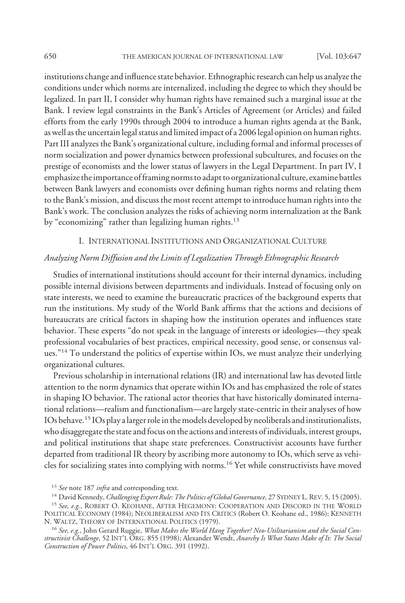institutions change and influence state behavior. Ethnographic research can help us analyze the conditions under which norms are internalized, including the degree to which they should be legalized. In part II, I consider why human rights have remained such a marginal issue at the Bank. I review legal constraints in the Bank's Articles of Agreement (or Articles) and failed efforts from the early 1990s through 2004 to introduce a human rights agenda at the Bank, as well as the uncertain legal status and limited impact of a 2006 legal opinion on human rights. Part III analyzes the Bank's organizational culture, including formal and informal processes of norm socialization and power dynamics between professional subcultures, and focuses on the prestige of economists and the lower status of lawyers in the Legal Department. In part IV, I emphasize the importance offraming norms to adapt to organizational culture, examine battles between Bank lawyers and economists over defining human rights norms and relating them to the Bank's mission, and discuss the most recent attempt to introduce human rights into the Bank's work. The conclusion analyzes the risks of achieving norm internalization at the Bank by "economizing" rather than legalizing human rights.<sup>13</sup>

# I. INTERNATIONAL INSTITUTIONS AND ORGANIZATIONAL CULTURE

## *Analyzing Norm Diffusion and the Limits of Legalization Through Ethnographic Research*

Studies of international institutions should account for their internal dynamics, including possible internal divisions between departments and individuals. Instead of focusing only on state interests, we need to examine the bureaucratic practices of the background experts that run the institutions. My study of the World Bank affirms that the actions and decisions of bureaucrats are critical factors in shaping how the institution operates and influences state behavior. These experts "do not speak in the language of interests or ideologies—they speak professional vocabularies of best practices, empirical necessity, good sense, or consensus values."14 To understand the politics of expertise within IOs, we must analyze their underlying organizational cultures.

Previous scholarship in international relations (IR) and international law has devoted little attention to the norm dynamics that operate within IOs and has emphasized the role of states in shaping IO behavior. The rational actor theories that have historically dominated international relations—realism and functionalism—are largely state-centric in their analyses of how IOs behave.15 IOs play a larger role in the models developed by neoliberals and institutionalists, who disaggregate the state and focus on the actions and interests of individuals, interest groups, and political institutions that shape state preferences. Constructivist accounts have further departed from traditional IR theory by ascribing more autonomy to IOs, which serve as vehicles for socializing states into complying with norms.16 Yet while constructivists have moved

<sup>15</sup> *See, e.g.*, ROBERT O. KEOHANE, AFTER HEGEMONY: COOPERATION AND DISCORD IN THE WORLD POLITICAL ECONOMY (1984); NEOLIBERALISM AND ITS CRITICS (Robert O. Keohane ed., 1986); KENNETH N. WALTZ, THEORY OF INTERNATIONAL POLITICS (1979).

<sup>13</sup> *See* note 187 *infra* and corresponding text.

<sup>14</sup> David Kennedy, *Challenging Expert Rule: The Politics of Global Governance,* 27 SYDNEY L. REV. 5, 15 (2005).

<sup>16</sup> *See, e.g.*, John Gerard Ruggie, *What Makes the World Hang Together? Neo-Utilitarianism and the Social Constructivist Challenge*, 52 INT'L ORG. 855 (1998); Alexander Wendt, *Anarchy Is What States Make of It: The Social Construction of Power Politics*, 46 INT'L ORG. 391 (1992).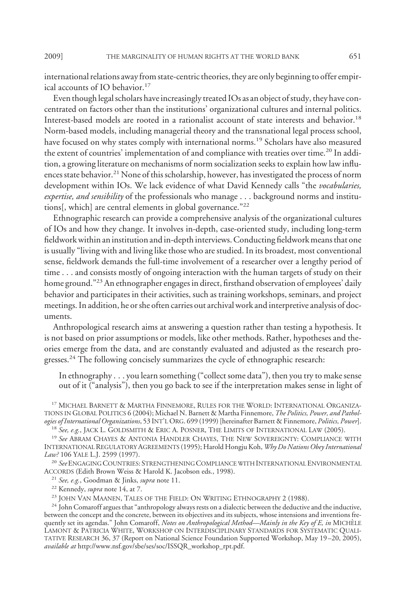international relations away from state-centric theories, they are only beginning to offer empirical accounts of IO behavior.<sup>17</sup>

Even though legal scholars have increasingly treated IOs as an object of study, they have concentrated on factors other than the institutions' organizational cultures and internal politics. Interest-based models are rooted in a rationalist account of state interests and behavior.18 Norm-based models, including managerial theory and the transnational legal process school, have focused on why states comply with international norms.<sup>19</sup> Scholars have also measured the extent of countries' implementation of and compliance with treaties over time.<sup>20</sup> In addition, a growing literature on mechanisms of norm socialization seeks to explain how law influences state behavior.<sup>21</sup> None of this scholarship, however, has investigated the process of norm development within IOs. We lack evidence of what David Kennedy calls "the *vocabularies, expertise, and sensibility* of the professionals who manage . . . background norms and institutions[, which] are central elements in global governance."22

Ethnographic research can provide a comprehensive analysis of the organizational cultures of IOs and how they change. It involves in-depth, case-oriented study, including long-term fieldwork within an institution and in-depth interviews. Conducting fieldwork means that one is usually "living with and living like those who are studied. In its broadest, most conventional sense, fieldwork demands the full-time involvement of a researcher over a lengthy period of time . . . and consists mostly of ongoing interaction with the human targets of study on their home ground."<sup>23</sup> An ethnographer engages in direct, firsthand observation of employees' daily behavior and participates in their activities, such as training workshops, seminars, and project meetings. In addition, he or she often carries out archival work and interpretive analysis of documents.

Anthropological research aims at answering a question rather than testing a hypothesis. It is not based on prior assumptions or models, like other methods. Rather, hypotheses and theories emerge from the data, and are constantly evaluated and adjusted as the research progresses.<sup>24</sup> The following concisely summarizes the cycle of ethnographic research:

In ethnography . . . you learn something ("collect some data"), then you try to make sense out of it ("analysis"), then you go back to see if the interpretation makes sense in light of

<sup>17</sup> MICHAEL BARNETT & MARTHA FINNEMORE, RULES FOR THE WORLD: INTERNATIONAL ORGANIZA-TIONS IN GLOBAL POLITICS 6 (2004); Michael N. Barnett & Martha Finnemore, *The Politics, Power, and Pathologies of International Organizations*, 53 INT'L ORG. 699 (1999) [hereinafter Barnett & Finnemore, *Politics, Power*]. <sup>18</sup> *See, e.g.*, JACK L. GOLDSMITH & ERIC A. POSNER, THE LIMITS OF INTERNATIONAL LAW (2005).

<sup>19</sup> *See* ABRAM CHAYES & ANTONIA HANDLER CHAYES, THE NEW SOVEREIGNTY: COMPLIANCE WITH INTERNATIONAL REGULATORY AGREEMENTS (1995); Harold Hongju Koh, *Why Do Nations Obey International*

*Law?* 106 YALE L.J. 2599 (1997).

<sup>20</sup> *See*ENGAGING COUNTRIES: STRENGTHENING COMPLIANCE WITH INTERNATIONALENVIRONMENTAL ACCORDS (Edith Brown Weiss & Harold K. Jacobson eds., 1998).

<sup>21</sup> *See, e.g.*, Goodman & Jinks, *supra* note 11.

<sup>22</sup> Kennedy, *supra* note 14, at 7.

<sup>23</sup> JOHN VAN MAANEN, TALES OF THE FIELD: ON WRITING ETHNOGRAPHY 2 (1988).

<sup>24</sup> John Comaroff argues that "anthropology always rests on a dialectic between the deductive and the inductive, between the concept and the concrete, between its objectives and its subjects, whose intensions and inventions frequently set its agendas." John Comaroff, *Notes on Anthropological Method—Mainly in the Key of E, in* MICHELE ` LAMONT & PATRICIA WHITE, WORKSHOP ON INTERDISCIPLINARY STANDARDS FOR SYSTEMATIC QUALI-TATIVE RESEARCH 36, 37 (Report on National Science Foundation Supported Workshop, May 19 –20, 2005), *available at* http://www.nsf.gov/sbe/ses/soc/ISSQR\_workshop\_rpt.pdf.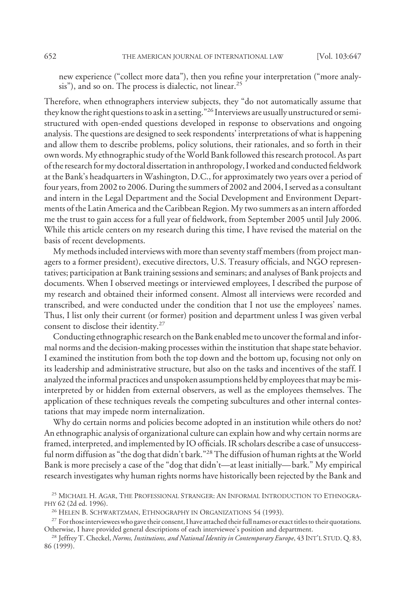new experience ("collect more data"), then you refine your interpretation ("more analysis"), and so on. The process is dialectic, not linear.<sup>25</sup>

Therefore, when ethnographers interview subjects, they "do not automatically assume that they know the right questions to ask in a setting."26 Interviews are usually unstructured or semistructured with open-ended questions developed in response to observations and ongoing analysis. The questions are designed to seek respondents' interpretations of what is happening and allow them to describe problems, policy solutions, their rationales, and so forth in their own words. My ethnographic study of theWorld Bank followed this research protocol. As part of the research for my doctoral dissertation in anthropology, I worked and conducted fieldwork at the Bank's headquarters in Washington, D.C., for approximately two years over a period of four years, from 2002 to 2006. During the summers of 2002 and 2004, I served as a consultant and intern in the Legal Department and the Social Development and Environment Departments of the Latin America and the Caribbean Region. My two summers as an intern afforded me the trust to gain access for a full year of fieldwork, from September 2005 until July 2006. While this article centers on my research during this time, I have revised the material on the basis of recent developments.

My methods included interviews with more than seventy staff members (from project managers to a former president), executive directors, U.S. Treasury officials, and NGO representatives; participation at Bank training sessions and seminars; and analyses of Bank projects and documents. When I observed meetings or interviewed employees, I described the purpose of my research and obtained their informed consent. Almost all interviews were recorded and transcribed, and were conducted under the condition that I not use the employees' names. Thus, I list only their current (or former) position and department unless I was given verbal consent to disclose their identity.27

Conducting ethnographic research on the Bank enabled me to uncover the formal and informal norms and the decision-making processes within the institution that shape state behavior. I examined the institution from both the top down and the bottom up, focusing not only on its leadership and administrative structure, but also on the tasks and incentives of the staff. I analyzed the informal practices and unspoken assumptions held by employees that may be misinterpreted by or hidden from external observers, as well as the employees themselves. The application of these techniques reveals the competing subcultures and other internal contestations that may impede norm internalization.

Why do certain norms and policies become adopted in an institution while others do not? An ethnographic analysis of organizational culture can explain how and why certain norms are framed, interpreted, and implemented by IO officials. IR scholars describe a case of unsuccessful norm diffusion as "the dog that didn't bark."<sup>28</sup> The diffusion of human rights at the World Bank is more precisely a case of the "dog that didn't—at least initially— bark." My empirical research investigates why human rights norms have historically been rejected by the Bank and

<sup>25</sup> MICHAEL H. AGAR, THE PROFESSIONAL STRANGER: AN INFORMAL INTRODUCTION TO ETHNOGRA-PHY 62 (2d ed. 1996).

<sup>26</sup> HELEN B. SCHWARTZMAN, ETHNOGRAPHY IN ORGANIZATIONS 54 (1993).

<sup>&</sup>lt;sup>27</sup> For those interviewees who gave their consent, I have attached their full names or exact titles to their quotations. Otherwise, I have provided general descriptions of each interviewee's position and department.

<sup>28</sup> Jeffrey T. Checkel, *Norms, Institutions, and National Identity in Contemporary Europe*, 43 INT'L STUD. Q. 83, 86 (1999).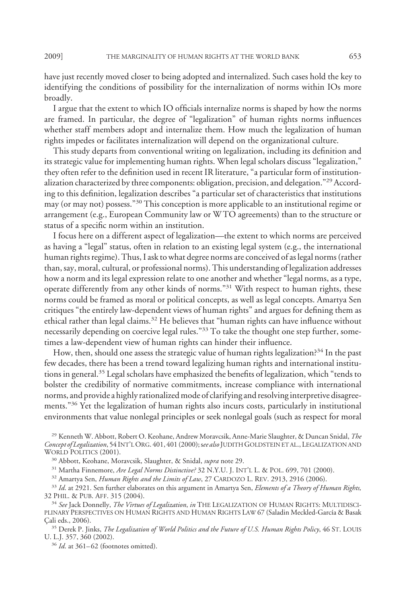have just recently moved closer to being adopted and internalized. Such cases hold the key to identifying the conditions of possibility for the internalization of norms within IOs more broadly.

I argue that the extent to which IO officials internalize norms is shaped by how the norms are framed. In particular, the degree of "legalization" of human rights norms influences whether staff members adopt and internalize them. How much the legalization of human rights impedes or facilitates internalization will depend on the organizational culture.

This study departs from conventional writing on legalization, including its definition and its strategic value for implementing human rights. When legal scholars discuss "legalization," they often refer to the definition used in recent IR literature, "a particular form of institutionalization characterized by three components: obligation, precision, and delegation."<sup>29</sup> According to this definition, legalization describes "a particular set of characteristics that institutions may (or may not) possess."30 This conception is more applicable to an institutional regime or arrangement (e.g., European Community law or W TO agreements) than to the structure or status of a specific norm within an institution.

I focus here on a different aspect of legalization—the extent to which norms are perceived as having a "legal" status, often in relation to an existing legal system (e.g., the international human rights regime). Thus, I ask to what degree norms are conceived of as legal norms (rather than, say, moral, cultural, or professional norms). This understanding of legalization addresses how a norm and its legal expression relate to one another and whether "legal norms, as a type, operate differently from any other kinds of norms."31 With respect to human rights, these norms could be framed as moral or political concepts, as well as legal concepts. Amartya Sen critiques "the entirely law-dependent views of human rights" and argues for defining them as ethical rather than legal claims.<sup>32</sup> He believes that "human rights can have influence without necessarily depending on coercive legal rules."<sup>33</sup> To take the thought one step further, sometimes a law-dependent view of human rights can hinder their influence.

How, then, should one assess the strategic value of human rights legalization?<sup>34</sup> In the past few decades, there has been a trend toward legalizing human rights and international institutions in general.35 Legal scholars have emphasized the benefits of legalization, which "tends to bolster the credibility of normative commitments, increase compliance with international norms, and provide a highly rationalized mode of clarifying and resolving interpretive disagreements."<sup>36</sup> Yet the legalization of human rights also incurs costs, particularly in institutional environments that value nonlegal principles or seek nonlegal goals (such as respect for moral

<sup>29</sup> Kenneth W. Abbott, Robert O. Keohane, Andrew Moravcsik, Anne-Marie Slaughter, & Duncan Snidal, *The Concept of Legalization*, 54 INT'LORG. 401, 401 (2000); s*ee also* JUDITH GOLDSTEIN ET AL., LEGALIZATION AND WORLD POLITICS (2001).

<sup>30</sup> Abbott, Keohane, Moravcsik, Slaughter, & Snidal, *supra* note 29.

<sup>31</sup> Martha Finnemore, *Are Legal Norms Distinctive?* 32 N.Y.U. J. INT'L L. & POL. 699, 701 (2000).

<sup>32</sup> Amartya Sen, *Human Rights and the Limits of Law*, 27 CARDOZO L. REV. 2913, 2916 (2006).

<sup>33</sup> *Id*. at 2921. Sen further elaborates on this argument in Amartya Sen, *Elements of a Theory of Human Rights,* 32 PHIL.&PUB. AFF. 315 (2004).

<sup>34</sup> *See* Jack Donnelly, *The Virtues of Legalization*, *in* THE LEGALIZATION OF HUMAN RIGHTS: MULTIDISCI-PLINARY PERSPECTIVES ON HUMAN RIGHTS AND HUMAN RIGHTS LAW 67 (Saladin Meckled-García & Basak Çali eds., 2006).

<sup>35</sup> Derek P. Jinks, *The Legalization of World Politics and the Future of U.S. Human Rights Policy*, 46 ST. LOUIS U. L.J. 357, 360 (2002).

<sup>36</sup> *Id.* at 361–62 (footnotes omitted).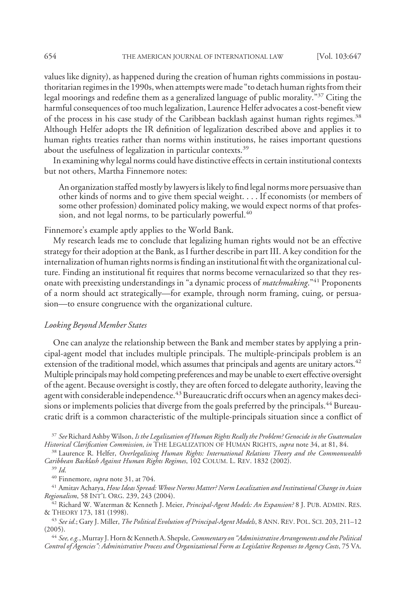values like dignity), as happened during the creation of human rights commissions in postauthoritarian regimes in the 1990s, when attempts were made "to detach human rights from their legal moorings and redefine them as a generalized language of public morality."37 Citing the harmful consequences of too much legalization, Laurence Helfer advocates a cost-benefit view of the process in his case study of the Caribbean backlash against human rights regimes.<sup>38</sup> Although Helfer adopts the IR definition of legalization described above and applies it to human rights treaties rather than norms within institutions, he raises important questions about the usefulness of legalization in particular contexts.<sup>39</sup>

In examining why legal norms could have distinctive effects in certain institutional contexts but not others, Martha Finnemore notes:

An organization staffed mostly by lawyers is likely to find legal norms more persuasive than other kinds of norms and to give them special weight. . . . If economists (or members of some other profession) dominated policy making, we would expect norms of that profession, and not legal norms, to be particularly powerful.<sup>40</sup>

Finnemore's example aptly applies to the World Bank.

My research leads me to conclude that legalizing human rights would not be an effective strategy for their adoption at the Bank, as I further describe in part III. A key condition for the internalization of human rights norms is finding an institutional fit with the organizational culture. Finding an institutional fit requires that norms become vernacularized so that they resonate with preexisting understandings in "a dynamic process of *matchmaking*."41 Proponents of a norm should act strategically—for example, through norm framing, cuing, or persuasion—to ensure congruence with the organizational culture.

#### *Looking Beyond Member States*

One can analyze the relationship between the Bank and member states by applying a principal-agent model that includes multiple principals. The multiple-principals problem is an extension of the traditional model, which assumes that principals and agents are unitary actors.<sup>42</sup> Multiple principals may hold competing preferences and may be unable to exert effective oversight of the agent. Because oversight is costly, they are often forced to delegate authority, leaving the agent with considerable independence. $^{43}$  Bureaucratic drift occurs when an agency makes decisions or implements policies that diverge from the goals preferred by the principals.<sup>44</sup> Bureaucratic drift is a common characteristic of the multiple-principals situation since a conflict of

<sup>37</sup> *See* Richard Ashby Wilson, *Is the Legalization of Human Rights Really the Problem? Genocide in the Guatemalan Historical Clarification Commission*, *in* THE LEGALIZATION OF HUMAN RIGHTS, *supra* note 34, at 81, 84.

<sup>38</sup> Laurence R. Helfer, *Overlegalizing Human Rights: International Relations Theory and the Commonwealth Caribbean Backlash Against Human Rights Regimes*, 102 COLUM. L. REV. 1832 (2002).

<sup>40</sup> Finnemore, *supra* note 31, at 704.

<sup>41</sup> Amitav Acharya, *How Ideas Spread: Whose Norms Matter? Norm Localization and Institutional Change in Asian Regionalism*, 58 INT'L ORG. 239, 243 (2004).

<sup>42</sup> Richard W. Waterman & Kenneth J. Meier, *Principal-Agent Models: An Expansion?* 8 J. PUB. ADMIN. RES. & THEORY 173, 181 (1998).

<sup>43</sup> *See id*.; Gary J. Miller, *The Political Evolution of Principal-Agent Models*,8ANN. REV. POL. SCI. 203, 211–12 (2005).

<sup>44</sup> *See, e.g.*,Murray J. Horn & Kenneth A. Shepsle,*Commentary on "Administrative Arrangements and the Political Control of Agencies": Administrative Process and Organizational Form as Legislative Responses to Agency Costs*, 75 VA.

<sup>39</sup> *Id*.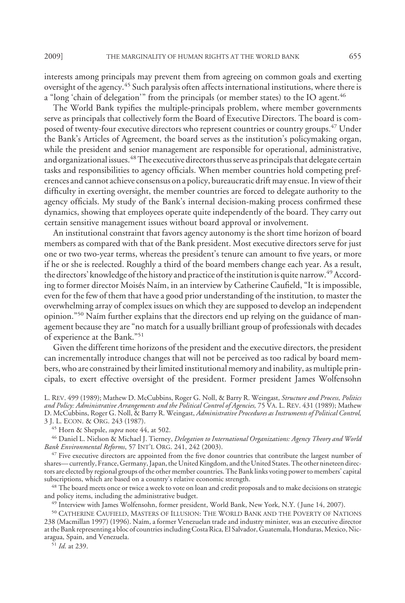interests among principals may prevent them from agreeing on common goals and exerting oversight of the agency.45 Such paralysis often affects international institutions, where there is a "long 'chain of delegation'" from the principals (or member states) to the IO agent.<sup>46</sup>

The World Bank typifies the multiple-principals problem, where member governments serve as principals that collectively form the Board of Executive Directors. The board is composed of twenty-four executive directors who represent countries or country groups.<sup>47</sup> Under the Bank's Articles of Agreement, the board serves as the institution's policymaking organ, while the president and senior management are responsible for operational, administrative, and organizational issues.<sup>48</sup> The executive directors thus serve as principals that delegate certain tasks and responsibilities to agency officials. When member countries hold competing preferences and cannot achieve consensus on a policy, bureaucratic drift may ensue. In view of their difficulty in exerting oversight, the member countries are forced to delegate authority to the agency officials. My study of the Bank's internal decision-making process confirmed these dynamics, showing that employees operate quite independently of the board. They carry out certain sensitive management issues without board approval or involvement.

An institutional constraint that favors agency autonomy is the short time horizon of board members as compared with that of the Bank president. Most executive directors serve for just one or two two-year terms, whereas the president's tenure can amount to five years, or more if he or she is reelected. Roughly a third of the board members change each year. As a result, the directors' knowledge of the history and practice of the institution is quite narrow.<sup>49</sup> According to former director Moisés Naím, in an interview by Catherine Caufield, "It is impossible, even for the few of them that have a good prior understanding of the institution, to master the overwhelming array of complex issues on which they are supposed to develop an independent opinion."<sup>50</sup> Naim further explains that the directors end up relying on the guidance of management because they are "no match for a usually brilliant group of professionals with decades of experience at the Bank."51

Given the different time horizons of the president and the executive directors, the president can incrementally introduce changes that will not be perceived as too radical by board members, who are constrained by their limited institutional memory and inability, as multiple principals, to exert effective oversight of the president. Former president James Wolfensohn

L. REV. 499 (1989); Mathew D. McCubbins, Roger G. Noll, & Barry R. Weingast, *Structure and Process, Politics and Policy: Administrative Arrangements and the Political Control of Agencies,* 75 VA. L. REV. 431 (1989); Mathew D. McCubbins, Roger G. Noll, & Barry R. Weingast, *Administrative Procedures as Instruments of Political Control,* 3 J. L. ECON.&ORG. 243 (1987).

<sup>45</sup> Horn & Shepsle, *supra* note 44, at 502.

<sup>46</sup> Daniel L. Nielson & Michael J. Tierney, *Delegation to International Organizations: Agency Theory and World Bank Environmental Reforms*, 57 INT'L ORG. 241, 242 (2003).

<sup>47</sup> Five executive directors are appointed from the five donor countries that contribute the largest number of shares— currently, France, Germany, Japan, the United Kingdom, and the United States. The other nineteen directors are elected by regional groups of the other member countries. The Bank links voting power to members' capital subscriptions, which are based on a country's relative economic strength.

<sup>48</sup> The board meets once or twice a week to vote on loan and credit proposals and to make decisions on strategic and policy items, including the administrative budget.

<sup>49</sup> Interview with James Wolfensohn, former president, World Bank, New York, N.Y. (June 14, 2007).

<sup>50</sup> CATHERINE CAUFIELD, MASTERS OF ILLUSION: THE WORLD BANK AND THE POVERTY OF NATIONS 238 (Macmillan 1997) (1996). Naím, a former Venezuelan trade and industry minister, was an executive director at the Bank representing a bloc of countries including Costa Rica, El Salvador, Guatemala, Honduras, Mexico, Nicaragua, Spain, and Venezuela.

<sup>51</sup> *Id*. at 239.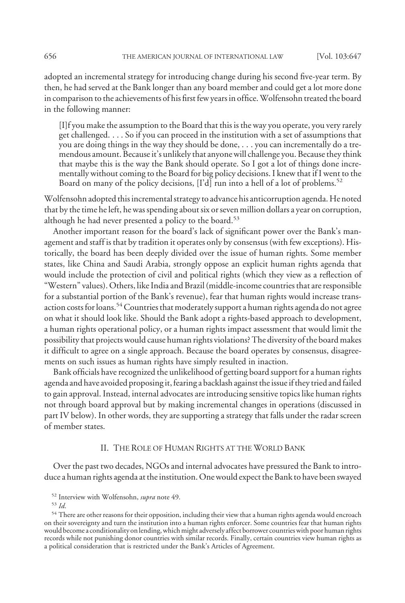adopted an incremental strategy for introducing change during his second five-year term. By then, he had served at the Bank longer than any board member and could get a lot more done in comparison to the achievements of his first few years in office.Wolfensohn treated the board in the following manner:

[I]f you make the assumption to the Board that this is the way you operate, you very rarely get challenged. . . . So if you can proceed in the institution with a set of assumptions that you are doing things in the way they should be done, . . . you can incrementally do a tremendous amount. Because it's unlikely that anyone will challenge you. Because they think that maybe this is the way the Bank should operate. So I got a lot of things done incrementally without coming to the Board for big policy decisions. I knew that if I went to the Board on many of the policy decisions, [I'd] run into a hell of a lot of problems.<sup>52</sup>

Wolfensohn adopted this incremental strategy to advance his anticorruption agenda. He noted that by the time he left, he was spending about six or seven million dollars a year on corruption, although he had never presented a policy to the board.<sup>53</sup>

Another important reason for the board's lack of significant power over the Bank's management and staff is that by tradition it operates only by consensus (with few exceptions). Historically, the board has been deeply divided over the issue of human rights. Some member states, like China and Saudi Arabia, strongly oppose an explicit human rights agenda that would include the protection of civil and political rights (which they view as a reflection of "Western" values). Others, like India and Brazil (middle-income countries that are responsible for a substantial portion of the Bank's revenue), fear that human rights would increase transaction costs for loans.<sup>54</sup> Countries that moderately support a human rights agenda do not agree on what it should look like. Should the Bank adopt a rights-based approach to development, a human rights operational policy, or a human rights impact assessment that would limit the possibility that projects would cause human rights violations? The diversity of the board makes it difficult to agree on a single approach. Because the board operates by consensus, disagreements on such issues as human rights have simply resulted in inaction.

Bank officials have recognized the unlikelihood of getting board support for a human rights agenda and have avoided proposing it, fearing a backlash against the issue if they tried and failed to gain approval. Instead, internal advocates are introducing sensitive topics like human rights not through board approval but by making incremental changes in operations (discussed in part IV below). In other words, they are supporting a strategy that falls under the radar screen of member states.

### II. THE ROLE OF HUMAN RIGHTS AT THE WORLD BANK

Over the past two decades, NGOs and internal advocates have pressured the Bank to introduce a human rights agenda at the institution. One would expect the Bank to have been swayed

<sup>52</sup> Interview with Wolfensohn, *supra* note 49.

<sup>53</sup> *Id*.

<sup>&</sup>lt;sup>54</sup> There are other reasons for their opposition, including their view that a human rights agenda would encroach on their sovereignty and turn the institution into a human rights enforcer. Some countries fear that human rights would become a conditionality on lending,which might adversely affect borrower countrieswith poor human rights records while not punishing donor countries with similar records. Finally, certain countries view human rights as a political consideration that is restricted under the Bank's Articles of Agreement.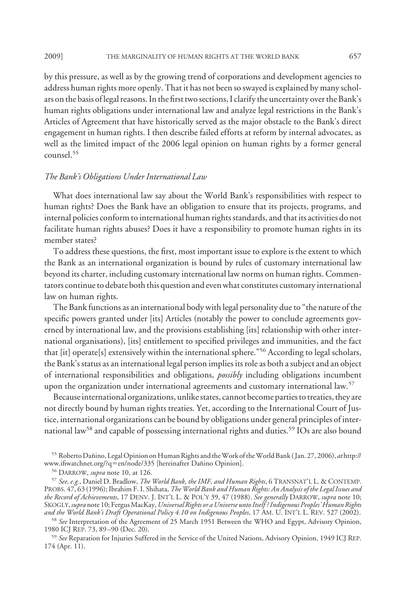by this pressure, as well as by the growing trend of corporations and development agencies to address human rights more openly. That it has not been so swayed is explained by many scholars on the basis of legal reasons. In the first two sections, I clarify the uncertainty over the Bank's human rights obligations under international law and analyze legal restrictions in the Bank's Articles of Agreement that have historically served as the major obstacle to the Bank's direct engagement in human rights. I then describe failed efforts at reform by internal advocates, as well as the limited impact of the 2006 legal opinion on human rights by a former general counsel.55

### *The Bank's Obligations Under International Law*

What does international law say about the World Bank's responsibilities with respect to human rights? Does the Bank have an obligation to ensure that its projects, programs, and internal policies conform to international human rights standards, and that its activities do not facilitate human rights abuses? Does it have a responsibility to promote human rights in its member states?

To address these questions, the first, most important issue to explore is the extent to which the Bank as an international organization is bound by rules of customary international law beyond its charter, including customary international law norms on human rights. Commentators continue to debate both this question and even what constitutes customary international law on human rights.

The Bank functions as an international body with legal personality due to "the nature of the specific powers granted under [its] Articles (notably the power to conclude agreements governed by international law, and the provisions establishing [its] relationship with other international organisations), [its] entitlement to specified privileges and immunities, and the fact that [it] operate[s] extensively within the international sphere."56 According to legal scholars, the Bank's status as an international legal person implies its role as both a subject and an object of international responsibilities and obligations, *possibly* including obligations incumbent upon the organization under international agreements and customary international law.<sup>57</sup>

Because international organizations, unlike states, cannot become parties to treaties, they are not directly bound by human rights treaties. Yet, according to the International Court of Justice, international organizations can be bound by obligations under general principles of international law<sup>58</sup> and capable of possessing international rights and duties.<sup>59</sup> IOs are also bound

<sup>55</sup> Roberto Dan˜ino, Legal Opinion onHuman Rights and theWork of theWorld Bank ( Jan. 27, 2006), *at* http:// www.ifiwatchnet.org/?q=en/node/335 [hereinafter Dañino Opinion].

<sup>58</sup> *See* Interpretation of the Agreement of 25 March 1951 Between the WHO and Egypt, Advisory Opinion, 1980 ICJ REP. 73, 89 –90 (Dec. 20).

<sup>59</sup> *See* Reparation for Injuries Suffered in the Service of the United Nations, Advisory Opinion, 1949 ICJ REP. 174 (Apr. 11).

<sup>56</sup> DARROW, *supra* note 10, at 126.

<sup>57</sup> *See, e.g.*, Daniel D. Bradlow, *The World Bank, the IMF, and Human Rights*,6TRANSNAT'L L. & CONTEMP. PROBS. 47, 63 (1996); Ibrahim F. I. Shihata, *The World Bank and Human Rights: An Analysis of the Legal Issues and the Record of Achievements*, 17 DENV. J. INT'L L. & POL'Y 39, 47 (1988). *See generally* DARROW, *supra* note 10; SKOGLY, *supra* note 10; FergusMacKay, *Universal Rights or a Universe unto Itself ? Indigenous Peoples' Human Rights and the World Bank's Draft Operational Policy 4.10 on Indigenous Peoples*, 17 AM. U. INT'L L. REV. 527 (2002).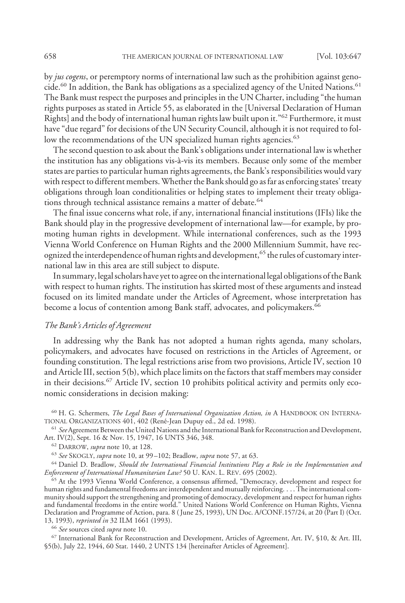by *jus cogens*, or peremptory norms of international law such as the prohibition against genocide.<sup>60</sup> In addition, the Bank has obligations as a specialized agency of the United Nations.<sup>61</sup> The Bank must respect the purposes and principles in the UN Charter, including "the human rights purposes as stated in Article 55, as elaborated in the [Universal Declaration of Human Rights] and the body of international human rights law built upon it."62 Furthermore, it must have "due regard" for decisions of the UN Security Council, although it is not required to follow the recommendations of the UN specialized human rights agencies.<sup>63</sup>

The second question to ask about the Bank's obligations under international law is whether the institution has any obligations vis-a`-vis its members. Because only some of the member states are parties to particular human rights agreements, the Bank's responsibilities would vary with respect to different members.Whether the Bank should go as far as enforcing states' treaty obligations through loan conditionalities or helping states to implement their treaty obligations through technical assistance remains a matter of debate.<sup>64</sup>

The final issue concerns what role, if any, international financial institutions (IFIs) like the Bank should play in the progressive development of international law—for example, by promoting human rights in development. While international conferences, such as the 1993 Vienna World Conference on Human Rights and the 2000 Millennium Summit, have recognized the interdependence of human rights and development,<sup>65</sup> the rules of customary international law in this area are still subject to dispute.

In summary, legal scholars have yet to agree on the international legal obligations of the Bank with respect to human rights. The institution has skirted most of these arguments and instead focused on its limited mandate under the Articles of Agreement, whose interpretation has become a locus of contention among Bank staff, advocates, and policymakers.<sup>66</sup>

## *The Bank's Articles of Agreement*

In addressing why the Bank has not adopted a human rights agenda, many scholars, policymakers, and advocates have focused on restrictions in the Articles of Agreement, or founding constitution. The legal restrictions arise from two provisions, Article IV, section 10 and Article III, section 5(b), which place limits on the factors that staff members may consider in their decisions.<sup>67</sup> Article IV, section 10 prohibits political activity and permits only economic considerations in decision making:

<sup>60</sup> H. G. Schermers, *The Legal Bases of International Organization Action, in* A HANDBOOK ON INTERNA-TIONAL ORGANIZATIONS 401, 402 (René-Jean Dupuy ed., 2d ed. 1998).

<sup>61</sup> *See*Agreement Between the United Nations and the International Bankfor Reconstruction and Development, Art. IV(2), Sept. 16 & Nov. 15, 1947, 16 UNTS 346, 348.

<sup>62</sup> DARROW, *supra* note 10, at 128.

<sup>63</sup> *See* SKOGLY, *supra* note 10, at 99 –102; Bradlow, *supra* note 57, at 63.

<sup>64</sup> Daniel D. Bradlow, *Should the International Financial Institutions Play a Role in the Implementation and Enforcement of International Humanitarian Law?* 50 U. KAN. L. REV. 695 (2002).

<sup>65</sup> At the 1993 Vienna World Conference, a consensus affirmed, "Democracy, development and respect for human rights and fundamental freedoms are interdependent and mutually reinforcing. . . . The international community should support the strengthening and promoting of democracy, development and respect for human rights and fundamental freedoms in the entire world." United Nations World Conference on Human Rights, Vienna Declaration and Programme of Action, para. 8 ( June 25, 1993), UN Doc. A/CONF.157/24, at 20 (Part I) (Oct. 13, 1993), *reprinted in* 32 ILM 1661 (1993).

<sup>66</sup> *See* sources cited *supra* note 10.

<sup>67</sup> International Bank for Reconstruction and Development, Articles of Agreement, Art. IV, §10, & Art. III, §5(b), July 22, 1944, 60 Stat. 1440, 2 UNTS 134 [hereinafter Articles of Agreement].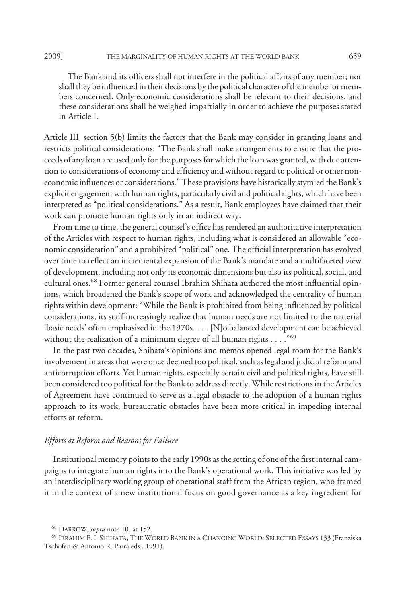The Bank and its officers shall not interfere in the political affairs of any member; nor shall they be influenced in their decisions by the political character of the member or members concerned. Only economic considerations shall be relevant to their decisions, and these considerations shall be weighed impartially in order to achieve the purposes stated in Article I.

Article III, section 5(b) limits the factors that the Bank may consider in granting loans and restricts political considerations: "The Bank shall make arrangements to ensure that the proceeds of any loan are used only for the purposes for which the loan was granted, with due attention to considerations of economy and efficiency and without regard to political or other noneconomic influences or considerations." These provisions have historically stymied the Bank's explicit engagement with human rights, particularly civil and political rights, which have been interpreted as "political considerations." As a result, Bank employees have claimed that their work can promote human rights only in an indirect way.

From time to time, the general counsel's office has rendered an authoritative interpretation of the Articles with respect to human rights, including what is considered an allowable "economic consideration" and a prohibited "political" one. The official interpretation has evolved over time to reflect an incremental expansion of the Bank's mandate and a multifaceted view of development, including not only its economic dimensions but also its political, social, and cultural ones.<sup>68</sup> Former general counsel Ibrahim Shihata authored the most influential opinions, which broadened the Bank's scope of work and acknowledged the centrality of human rights within development: "While the Bank is prohibited from being influenced by political considerations, its staff increasingly realize that human needs are not limited to the material 'basic needs' often emphasized in the 1970s. . . . [N]o balanced development can be achieved without the realization of a minimum degree of all human rights . . . . "<sup>69</sup>

In the past two decades, Shihata's opinions and memos opened legal room for the Bank's involvement in areas that were once deemed too political, such as legal and judicial reform and anticorruption efforts. Yet human rights, especially certain civil and political rights, have still been considered too political for the Bank to address directly. While restrictions in the Articles of Agreement have continued to serve as a legal obstacle to the adoption of a human rights approach to its work, bureaucratic obstacles have been more critical in impeding internal efforts at reform.

### *Efforts at Reform and Reasons for Failure*

Institutional memory points to the early 1990s as the setting of one of the first internal campaigns to integrate human rights into the Bank's operational work. This initiative was led by an interdisciplinary working group of operational staff from the African region, who framed it in the context of a new institutional focus on good governance as a key ingredient for

<sup>68</sup> DARROW, *supra* note 10, at 152.

<sup>69</sup> IBRAHIM F. I. SHIHATA, THE WORLD BANK IN A CHANGING WORLD: SELECTED ESSAYS 133 (Franziska Tschofen & Antonio R. Parra eds., 1991).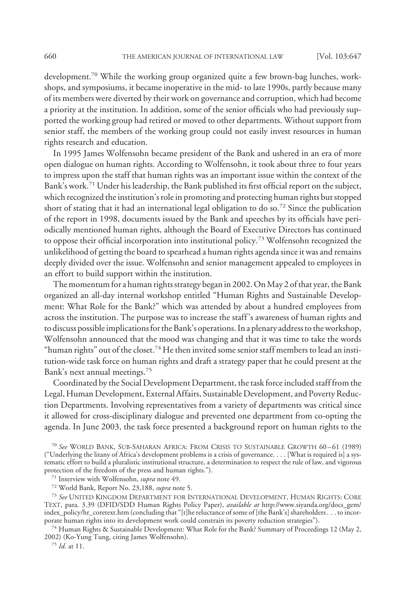development.70 While the working group organized quite a few brown-bag lunches, workshops, and symposiums, it became inoperative in the mid- to late 1990s, partly because many of its members were diverted by their work on governance and corruption, which had become a priority at the institution. In addition, some of the senior officials who had previously supported the working group had retired or moved to other departments. Without support from senior staff, the members of the working group could not easily invest resources in human rights research and education.

In 1995 James Wolfensohn became president of the Bank and ushered in an era of more open dialogue on human rights. According to Wolfensohn, it took about three to four years to impress upon the staff that human rights was an important issue within the context of the Bank's work.<sup>71</sup> Under his leadership, the Bank published its first official report on the subject, which recognized the institution's role in promoting and protecting human rights but stopped short of stating that it had an international legal obligation to do so.<sup>72</sup> Since the publication of the report in 1998, documents issued by the Bank and speeches by its officials have periodically mentioned human rights, although the Board of Executive Directors has continued to oppose their official incorporation into institutional policy.<sup>73</sup> Wolfensohn recognized the unlikelihood of getting the board to spearhead a human rights agenda since it was and remains deeply divided over the issue. Wolfensohn and senior management appealed to employees in an effort to build support within the institution.

The momentum for a human rights strategy began in 2002. On May 2 of that year, the Bank organized an all-day internal workshop entitled "Human Rights and Sustainable Development: What Role for the Bank?" which was attended by about a hundred employees from across the institution. The purpose was to increase the staff 's awareness of human rights and to discuss possible implicationsfor the Bank's operations. In a plenary address to the workshop, Wolfensohn announced that the mood was changing and that it was time to take the words "human rights" out of the closet.<sup>74</sup> He then invited some senior staff members to lead an institution-wide task force on human rights and draft a strategy paper that he could present at the Bank's next annual meetings.75

Coordinated by the Social Development Department, the task force included staff from the Legal, Human Development, External Affairs, Sustainable Development, and Poverty Reduction Departments. Involving representatives from a variety of departments was critical since it allowed for cross-disciplinary dialogue and prevented one department from co-opting the agenda. In June 2003, the task force presented a background report on human rights to the

<sup>70</sup> *See* WORLD BANK, SUB-SAHARAN AFRICA: FROM CRISIS TO SUSTAINABLE GROWTH 60 – 61 (1989) ("Underlying the litany of Africa's development problems is a crisis of governance. . . . [What is required is] a systematic effort to build a pluralistic institutional structure, a determination to respect the rule of law, and vigorous protection of the freedom of the press and human rights.").

<sup>72</sup> World Bank, Report No. 23,188, *supra* note 5.

<sup>73</sup> *See* UNITED KINGDOM DEPARTMENT FOR INTERNATIONAL DEVELOPMENT, HUMAN RIGHTS: CORE TEXT, para. 3.39 (DFID/SDD Human Rights Policy Paper), *available at* http://www.siyanda.org/docs\_gem/ index\_policy/hr\_coretext.htm (concluding that "[t]he reluctance of some of [the Bank's] shareholders . . . to incorporate human rights into its development work could constrain its poverty reduction strategies").

<sup>74</sup> Human Rights & Sustainable Development: What Role for the Bank? Summary of Proceedings 12 (May 2, 2002) (Ko-Yung Tung, citing James Wolfensohn).

<sup>75</sup> *Id*. at 11.

<sup>71</sup> Interview with Wolfensohn, *supra* note 49.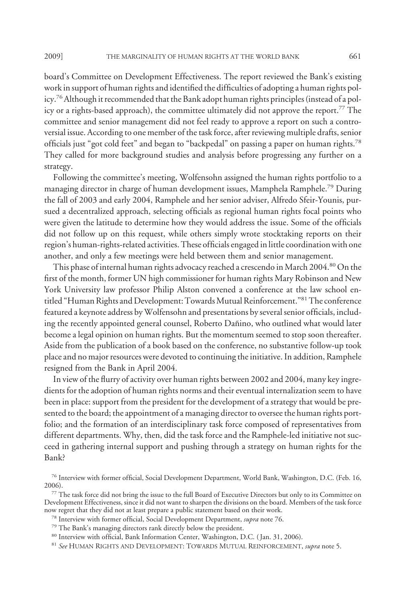board's Committee on Development Effectiveness. The report reviewed the Bank's existing work in support of human rights and identified the difficulties of adopting a human rights policy.76Although it recommended that the Bank adopt human rights principles (instead of a policy or a rights-based approach), the committee ultimately did not approve the report.<sup>77</sup> The committee and senior management did not feel ready to approve a report on such a controversial issue. According to one member of the task force, after reviewing multiple drafts, senior officials just "got cold feet" and began to "backpedal" on passing a paper on human rights.78 They called for more background studies and analysis before progressing any further on a strategy.

Following the committee's meeting, Wolfensohn assigned the human rights portfolio to a managing director in charge of human development issues, Mamphela Ramphele.79 During the fall of 2003 and early 2004, Ramphele and her senior adviser, Alfredo Sfeir-Younis, pursued a decentralized approach, selecting officials as regional human rights focal points who were given the latitude to determine how they would address the issue. Some of the officials did not follow up on this request, while others simply wrote stocktaking reports on their region's human-rights-related activities. These officials engaged in little coordination with one another, and only a few meetings were held between them and senior management.

This phase of internal human rights advocacy reached a crescendo in March 2004.<sup>80</sup> On the first of the month, former UN high commissioner for human rights Mary Robinson and New York University law professor Philip Alston convened a conference at the law school entitled "Human Rights and Development: Towards Mutual Reinforcement."<sup>81</sup> The conference featured a keynote address byWolfensohn and presentations by several senior officials, including the recently appointed general counsel, Roberto Dañino, who outlined what would later become a legal opinion on human rights. But the momentum seemed to stop soon thereafter. Aside from the publication of a book based on the conference, no substantive follow-up took place and no major resources were devoted to continuing the initiative. In addition, Ramphele resigned from the Bank in April 2004.

In view of the flurry of activity over human rights between 2002 and 2004, many key ingredients for the adoption of human rights norms and their eventual internalization seem to have been in place: support from the president for the development of a strategy that would be presented to the board; the appointment of a managing director to oversee the human rights portfolio; and the formation of an interdisciplinary task force composed of representatives from different departments. Why, then, did the task force and the Ramphele-led initiative not succeed in gathering internal support and pushing through a strategy on human rights for the Bank?

<sup>76</sup> Interview with former official, Social Development Department, World Bank, Washington, D.C. (Feb. 16, 2006).

<sup>77</sup> The task force did not bring the issue to the full Board of Executive Directors but only to its Committee on Development Effectiveness, since it did not want to sharpen the divisions on the board. Members of the task force now regret that they did not at least prepare a public statement based on their work.

<sup>78</sup> Interview with former official, Social Development Department, *supra* note 76.

<sup>79</sup> The Bank's managing directors rank directly below the president.

<sup>80</sup> Interview with official, Bank Information Center, Washington, D.C. ( Jan. 31, 2006).

<sup>81</sup> *See* HUMAN RIGHTS AND DEVELOPMENT: TOWARDS MUTUAL REINFORCEMENT, *supra* note 5.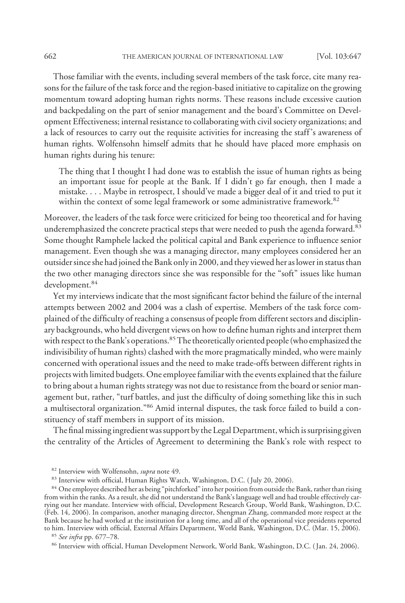Those familiar with the events, including several members of the task force, cite many reasons for the failure of the task force and the region-based initiative to capitalize on the growing momentum toward adopting human rights norms. These reasons include excessive caution and backpedaling on the part of senior management and the board's Committee on Development Effectiveness; internal resistance to collaborating with civil society organizations; and a lack of resources to carry out the requisite activities for increasing the staff 's awareness of human rights. Wolfensohn himself admits that he should have placed more emphasis on human rights during his tenure:

The thing that I thought I had done was to establish the issue of human rights as being an important issue for people at the Bank. If I didn't go far enough, then I made a mistake....Maybe in retrospect, I should've made a bigger deal of it and tried to put it within the context of some legal framework or some administrative framework.<sup>82</sup>

Moreover, the leaders of the task force were criticized for being too theoretical and for having underemphasized the concrete practical steps that were needed to push the agenda forward. $83$ Some thought Ramphele lacked the political capital and Bank experience to influence senior management. Even though she was a managing director, many employees considered her an outsider since she had joined the Bank only in 2000, and they viewed her as lower in status than the two other managing directors since she was responsible for the "soft" issues like human development.<sup>84</sup>

Yet my interviews indicate that the most significant factor behind the failure of the internal attempts between 2002 and 2004 was a clash of expertise. Members of the task force complained of the difficulty of reaching a consensus of people from different sectors and disciplinary backgrounds, who held divergent views on how to define human rights and interpret them with respect to the Bank's operations.<sup>85</sup> The theoretically oriented people (who emphasized the indivisibility of human rights) clashed with the more pragmatically minded, who were mainly concerned with operational issues and the need to make trade-offs between different rights in projects with limited budgets. One employee familiar with the events explained that the failure to bring about a human rights strategy was not due to resistance from the board or senior management but, rather, "turf battles, and just the difficulty of doing something like this in such a multisectoral organization."86 Amid internal disputes, the task force failed to build a constituency of staff members in support of its mission.

The final missing ingredient was support by the Legal Department, which is surprising given the centrality of the Articles of Agreement to determining the Bank's role with respect to

<sup>85</sup> *See infra* pp. 677–78.

<sup>82</sup> Interview with Wolfensohn, *supra* note 49.

<sup>83</sup> Interview with official, Human Rights Watch, Washington, D.C. (July 20, 2006).

<sup>84</sup> One employee described her as being "pitchforked" into her position from outside the Bank, rather than rising from within the ranks. As a result, she did not understand the Bank's language well and had trouble effectively carrying out her mandate. Interview with official, Development Research Group, World Bank, Washington, D.C. (Feb. 14, 2006). In comparison, another managing director, Shengman Zhang, commanded more respect at the Bank because he had worked at the institution for a long time, and all of the operational vice presidents reported to him. Interview with official, External Affairs Department, World Bank, Washington, D.C. (Mar. 15, 2006).

<sup>&</sup>lt;sup>86</sup> Interview with official, Human Development Network, World Bank, Washington, D.C. (Jan. 24, 2006).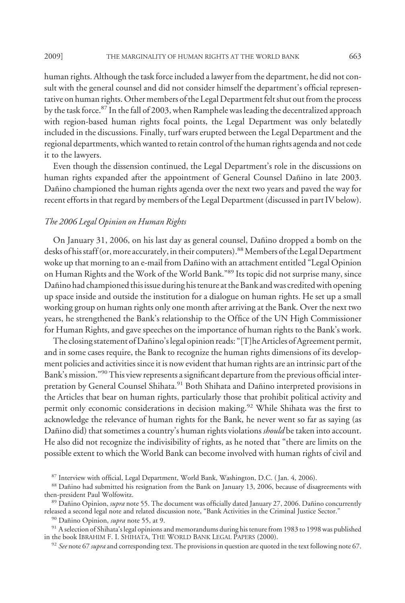human rights. Although the task force included a lawyer from the department, he did not consult with the general counsel and did not consider himself the department's official representative on human rights. Other members of the Legal Department felt shut out from the process by the task force.<sup>87</sup> In the fall of 2003, when Ramphele was leading the decentralized approach with region-based human rights focal points, the Legal Department was only belatedly included in the discussions. Finally, turf wars erupted between the Legal Department and the regional departments, which wanted to retain control of the human rights agenda and not cede it to the lawyers.

Even though the dissension continued, the Legal Department's role in the discussions on human rights expanded after the appointment of General Counsel Dañino in late 2003. Dañino championed the human rights agenda over the next two years and paved the way for recent efforts in that regard by members of the Legal Department (discussed in part IV below).

# *The 2006 Legal Opinion on Human Rights*

On January 31, 2006, on his last day as general counsel, Dañino dropped a bomb on the desks of his staff (or, more accurately, in their computers).<sup>88</sup> Members of the Legal Department woke up that morning to an e-mail from Dañino with an attachment entitled "Legal Opinion on Human Rights and the Work of the World Bank."89 Its topic did not surprise many, since Dañino had championed this issue during his tenure at the Bank and was credited with opening up space inside and outside the institution for a dialogue on human rights. He set up a small working group on human rights only one month after arriving at the Bank. Over the next two years, he strengthened the Bank's relationship to the Office of the UN High Commissioner for Human Rights, and gave speeches on the importance of human rights to the Bank's work.

The closing statement of Dañino's legal opinion reads: "[T]he Articles of Agreement permit, and in some cases require, the Bank to recognize the human rights dimensions of its development policies and activities since it is now evident that human rights are an intrinsic part of the Bank's mission."<sup>90</sup> This view represents a significant departure from the previous official interpretation by General Counsel Shihata.<sup>91</sup> Both Shihata and Dañino interpreted provisions in the Articles that bear on human rights, particularly those that prohibit political activity and permit only economic considerations in decision making.<sup>92</sup> While Shihata was the first to acknowledge the relevance of human rights for the Bank, he never went so far as saying (as Dañino did) that sometimes a country's human rights violations *should* be taken into account. He also did not recognize the indivisibility of rights, as he noted that "there are limits on the possible extent to which the World Bank can become involved with human rights of civil and

<sup>87</sup> Interview with official, Legal Department, World Bank, Washington, D.C. ( Jan. 4, 2006).

<sup>88</sup> Dañino had submitted his resignation from the Bank on January 13, 2006, because of disagreements with then-president Paul Wolfowitz.

<sup>&</sup>lt;sup>89</sup> Dañino Opinion, *supra* note 55. The document was officially dated January 27, 2006. Dañino concurrently released a second legal note and related discussion note, "Bank Activities in the Criminal Justice Sector."

<sup>&</sup>lt;sup>90</sup> Dañino Opinion, *supra* note 55, at 9.

 $91$  A selection of Shihata's legal opinions and memorandums during his tenure from 1983 to 1998 was published in the book IBRAHIM F. I. SHIHATA, THE WORLD BANK LEGAL PAPERS (2000).

<sup>92</sup> *See* note 67 *supra* and corresponding text. The provisions in question are quoted in the text following note 67.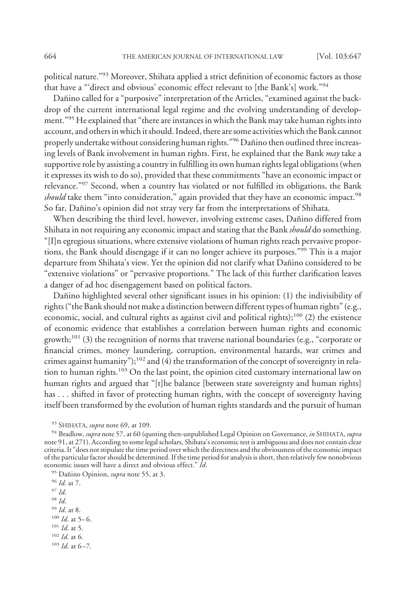political nature."93 Moreover, Shihata applied a strict definition of economic factors as those that have a "'direct and obvious' economic effect relevant to [the Bank's] work."94

Dañino called for a "purposive" interpretation of the Articles, "examined against the backdrop of the current international legal regime and the evolving understanding of development."<sup>95</sup> He explained that "there are instances in which the Bank may take human rights into account, and others in which it should. Indeed, there are some activities which the Bank cannot properly undertake without considering human rights."<sup>96</sup> Dañino then outlined three increasing levels of Bank involvement in human rights. First, he explained that the Bank *may* take a supportive role by assisting a country in fulfilling its own human rights legal obligations (when it expresses its wish to do so), provided that these commitments "have an economic impact or relevance."97 Second, when a country has violated or not fulfilled its obligations, the Bank *should* take them "into consideration," again provided that they have an economic impact.<sup>98</sup> So far, Dañino's opinion did not stray very far from the interpretations of Shihata.

When describing the third level, however, involving extreme cases, Dañino differed from Shihata in not requiring any economic impact and stating that the Bank *should* do something. "[I]n egregious situations, where extensive violations of human rights reach pervasive proportions, the Bank should disengage if it can no longer achieve its purposes."99 This is a major departure from Shihata's view. Yet the opinion did not clarify what Dañino considered to be "extensive violations" or "pervasive proportions." The lack of this further clarification leaves a danger of ad hoc disengagement based on political factors.

Dañino highlighted several other significant issues in his opinion: (1) the indivisibility of rights ("the Bank should not make a distinction between different types of human rights" (e.g., economic, social, and cultural rights as against civil and political rights);<sup>100</sup> (2) the existence of economic evidence that establishes a correlation between human rights and economic growth;<sup>101</sup> (3) the recognition of norms that traverse national boundaries (e.g., "corporate or financial crimes, money laundering, corruption, environmental hazards, war crimes and crimes against humanity"); $102$  and (4) the transformation of the concept of sovereignty in relation to human rights.<sup>103</sup> On the last point, the opinion cited customary international law on human rights and argued that "[t]he balance [between state sovereignty and human rights] has . . . shifted in favor of protecting human rights, with the concept of sovereignty having itself been transformed by the evolution of human rights standards and the pursuit of human

- <sup>98</sup> *Id*.
- <sup>99</sup> *Id*. at 8.
- <sup>100</sup> *Id.* at 5–6.
- <sup>101</sup> *Id*. at 5.
- <sup>102</sup> *Id*. at 6.
- $103$  *Id.* at 6-7.

<sup>93</sup> SHIHATA, *supra* note 69, at 109.

<sup>94</sup> Bradlow, *supra* note 57, at 60 (quoting then-unpublished Legal Opinion on Governance, *in* SHIHATA, *supra* note 91, at 271). According to some legal scholars, Shihata's economic test is ambiguous and does not contain clear criteria. It "does not stipulate the time period over which the directness and the obviousness of the economic impact of the particular factor should be determined. If the time period for analysis is short, then relatively few nonobvious economic issues will have a direct and obvious effect." *Id*.

<sup>&</sup>lt;sup>95</sup> Dañino Opinion, *supra* note 55, at 3.

<sup>96</sup> *Id*. at 7.

<sup>97</sup> *Id*.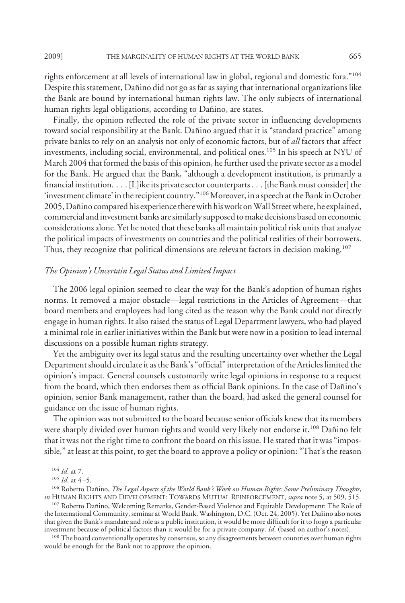rights enforcement at all levels of international law in global, regional and domestic fora."104 Despite this statement, Dañino did not go as far as saying that international organizations like the Bank are bound by international human rights law. The only subjects of international human rights legal obligations, according to Dañino, are states.

Finally, the opinion reflected the role of the private sector in influencing developments toward social responsibility at the Bank. Dañino argued that it is "standard practice" among private banks to rely on an analysis not only of economic factors, but of *all* factors that affect investments, including social, environmental, and political ones.105 In his speech at NYU of March 2004 that formed the basis of this opinion, he further used the private sector as a model for the Bank. He argued that the Bank, "although a development institution, is primarily a financial institution....[L]ike its private sector counterparts . . . [the Bank must consider] the 'investment climate' in the recipient country."<sup>106</sup> Moreover, in a speech at the Bank in October 2005, Dañino compared his experience there with his work on Wall Street where, he explained, commercial and investment banks are similarly supposed to make decisions based on economic considerations alone. Yet he noted that these banks all maintain political risk units that analyze the political impacts of investments on countries and the political realities of their borrowers. Thus, they recognize that political dimensions are relevant factors in decision making.<sup>107</sup>

#### *The Opinion's Uncertain Legal Status and Limited Impact*

The 2006 legal opinion seemed to clear the way for the Bank's adoption of human rights norms. It removed a major obstacle—legal restrictions in the Articles of Agreement—that board members and employees had long cited as the reason why the Bank could not directly engage in human rights. It also raised the status of Legal Department lawyers, who had played a minimal role in earlier initiatives within the Bank but were now in a position to lead internal discussions on a possible human rights strategy.

Yet the ambiguity over its legal status and the resulting uncertainty over whether the Legal Department should circulate it as the Bank's "official" interpretation of the Articles limited the opinion's impact. General counsels customarily write legal opinions in response to a request from the board, which then endorses them as official Bank opinions. In the case of Dañino's opinion, senior Bank management, rather than the board, had asked the general counsel for guidance on the issue of human rights.

The opinion was not submitted to the board because senior officials knew that its members were sharply divided over human rights and would very likely not endorse it.<sup>108</sup> Dañino felt that it was not the right time to confront the board on this issue. He stated that it was "impossible," at least at this point, to get the board to approve a policy or opinion: "That's the reason

<sup>106</sup> Roberto Dañino, *The Legal Aspects of the World Bank's Work on Human Rights: Some Preliminary Thoughts*, *in* HUMAN RIGHTS AND DEVELOPMENT: TOWARDS MUTUAL REINFORCEMENT, *supra* note 5, at 509, 515.

<sup>107</sup> Roberto Dañino, Welcoming Remarks, Gender-Based Violence and Equitable Development: The Role of the International Community, seminar at World Bank, Washington, D.C. (Oct. 24, 2005). Yet Dañino also notes that given the Bank's mandate and role as a public institution, it would be more difficult for it to forgo a particular investment because of political factors than it would be for a private company. *Id*. (based on author's notes).

<sup>108</sup> The board conventionally operates by consensus, so any disagreements between countries over human rights would be enough for the Bank not to approve the opinion.

<sup>104</sup> *Id*. at 7.

<sup>&</sup>lt;sup>105</sup> *Id.* at 4-5.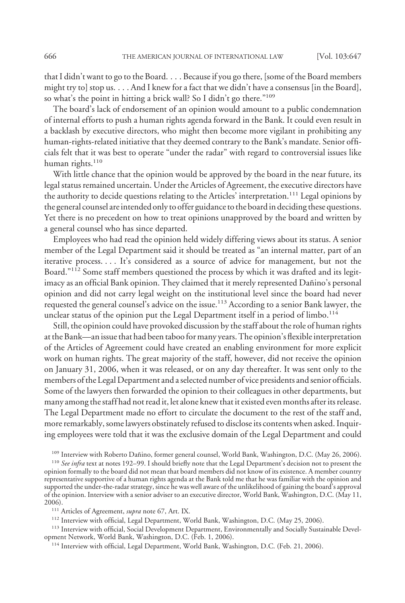that I didn't want to go to the Board.... Because if you go there, [some of the Board members might try to] stop us. . . . And I knew for a fact that we didn't have a consensus [in the Board], so what's the point in hitting a brick wall? So I didn't go there."109

The board's lack of endorsement of an opinion would amount to a public condemnation of internal efforts to push a human rights agenda forward in the Bank. It could even result in a backlash by executive directors, who might then become more vigilant in prohibiting any human-rights-related initiative that they deemed contrary to the Bank's mandate. Senior officials felt that it was best to operate "under the radar" with regard to controversial issues like human rights.<sup>110</sup>

With little chance that the opinion would be approved by the board in the near future, its legal status remained uncertain. Under the Articles of Agreement, the executive directors have the authority to decide questions relating to the Articles' interpretation.111 Legal opinions by the general counsel are intended only to offer guidance to the board in deciding these questions. Yet there is no precedent on how to treat opinions unapproved by the board and written by a general counsel who has since departed.

Employees who had read the opinion held widely differing views about its status. A senior member of the Legal Department said it should be treated as "an internal matter, part of an iterative process.... It's considered as a source of advice for management, but not the Board."<sup>112</sup> Some staff members questioned the process by which it was drafted and its legitimacy as an official Bank opinion. They claimed that it merely represented Dañino's personal opinion and did not carry legal weight on the institutional level since the board had never requested the general counsel's advice on the issue.<sup>113</sup> According to a senior Bank lawyer, the unclear status of the opinion put the Legal Department itself in a period of limbo.<sup>114</sup>

Still, the opinion could have provoked discussion by the staff about the role of human rights at the Bank—an issue that had been taboofor many years. The opinion's flexible interpretation of the Articles of Agreement could have created an enabling environment for more explicit work on human rights. The great majority of the staff, however, did not receive the opinion on January 31, 2006, when it was released, or on any day thereafter. It was sent only to the members of the Legal Department and a selected number of vice presidents and senior officials. Some of the lawyers then forwarded the opinion to their colleagues in other departments, but many among the staff had not read it, let alone knew that it existed even months after its release. The Legal Department made no effort to circulate the document to the rest of the staff and, more remarkably, some lawyers obstinately refused to disclose its contents when asked. Inquiring employees were told that it was the exclusive domain of the Legal Department and could

<sup>109</sup> Interview with Roberto Dañino, former general counsel, World Bank, Washington, D.C. (May 26, 2006).

<sup>110</sup> See infra text at notes 192-99. I should briefly note that the Legal Department's decision not to present the opinion formally to the board did not mean that board members did not know of its existence. A member country representative supportive of a human rights agenda at the Bank told me that he was familiar with the opinion and supported the under-the-radar strategy, since he was well aware of the unlikelihood of gaining the board's approval of the opinion. Interview with a senior adviser to an executive director, World Bank, Washington, D.C. (May 11, 2006).

<sup>111</sup> Articles of Agreement, *supra* note 67, Art. IX.

<sup>112</sup> Interview with official, Legal Department, World Bank, Washington, D.C. (May 25, 2006).

<sup>113</sup> Interview with official, Social Development Department, Environmentally and Socially Sustainable Development Network, World Bank, Washington, D.C. (Feb. 1, 2006).

<sup>114</sup> Interview with official, Legal Department, World Bank, Washington, D.C. (Feb. 21, 2006).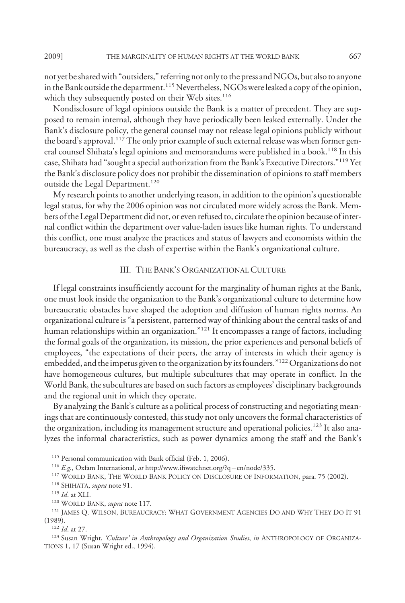not yet be shared with "outsiders," referring not only to the press and NGOs, but also to anyone in the Bank outside the department.<sup>115</sup> Nevertheless, NGOs were leaked a copy of the opinion, which they subsequently posted on their Web sites.<sup>116</sup>

Nondisclosure of legal opinions outside the Bank is a matter of precedent. They are supposed to remain internal, although they have periodically been leaked externally. Under the Bank's disclosure policy, the general counsel may not release legal opinions publicly without the board's approval.<sup>117</sup> The only prior example of such external release was when former general counsel Shihata's legal opinions and memorandums were published in a book.<sup>118</sup> In this case, Shihata had "sought a special authorization from the Bank's Executive Directors."119 Yet the Bank's disclosure policy does not prohibit the dissemination of opinions to staff members outside the Legal Department.<sup>120</sup>

My research points to another underlying reason, in addition to the opinion's questionable legal status, for why the 2006 opinion was not circulated more widely across the Bank. Members of the Legal Department did not, or even refused to, circulate the opinion because of internal conflict within the department over value-laden issues like human rights. To understand this conflict, one must analyze the practices and status of lawyers and economists within the bureaucracy, as well as the clash of expertise within the Bank's organizational culture.

## III. THE BANK'S ORGANIZATIONAL CULTURE

If legal constraints insufficiently account for the marginality of human rights at the Bank, one must look inside the organization to the Bank's organizational culture to determine how bureaucratic obstacles have shaped the adoption and diffusion of human rights norms. An organizational culture is "a persistent, patterned way of thinking about the central tasks of and human relationships within an organization."<sup>121</sup> It encompasses a range of factors, including the formal goals of the organization, its mission, the prior experiences and personal beliefs of employees, "the expectations of their peers, the array of interests in which their agency is embedded, and the impetus given to the organization by its founders."<sup>122</sup> Organizations do not have homogeneous cultures, but multiple subcultures that may operate in conflict. In the World Bank, the subcultures are based on such factors as employees' disciplinary backgrounds and the regional unit in which they operate.

By analyzing the Bank's culture as a political process of constructing and negotiating meanings that are continuously contested, this study not only uncovers the formal characteristics of the organization, including its management structure and operational policies.<sup>123</sup> It also analyzes the informal characteristics, such as power dynamics among the staff and the Bank's

<sup>115</sup> Personal communication with Bank official (Feb. 1, 2006).

<sup>116</sup> *E.g.*, Oxfam International, *at* http://www.ifiwatchnet.org/?q=en/node/335.

<sup>117</sup> WORLD BANK, THE WORLD BANK POLICY ON DISCLOSURE OF INFORMATION, para. 75 (2002).

<sup>118</sup> SHIHATA, *supra* note 91.

<sup>120</sup> WORLD BANK, *supra* note 117.

<sup>121</sup> JAMES Q. WILSON, BUREAUCRACY: WHAT GOVERNMENT AGENCIES DO AND WHY THEY DO IT 91 (1989).

<sup>122</sup> *Id*. at 27.

<sup>123</sup> Susan Wright, *'Culture' in Anthropology and Organization Studies*, *in* ANTHROPOLOGY OF ORGANIZA-TIONS 1, 17 (Susan Wright ed., 1994).

<sup>119</sup> *Id*. at XLI.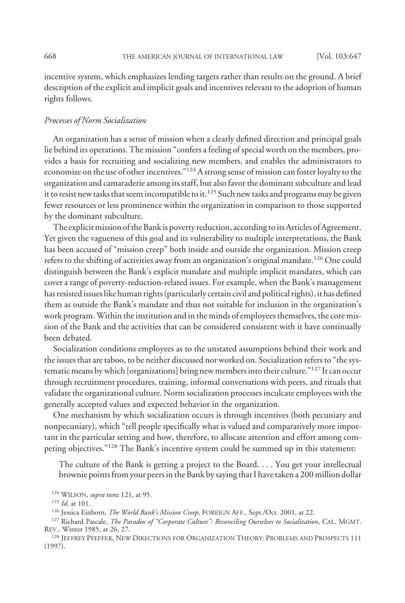incentive system, which emphasizes lending targets rather than results on the ground. A brief description of the explicit and implicit goals and incentives relevant to the adoption of human rights follows.

#### *Processes of Norm Socialization*

An organization has a sense of mission when a clearly defined direction and principal goals lie behind its operations. The mission "confers a feeling of special worth on the members, provides a basis for recruiting and socializing new members, and enables the administrators to economize on the use of other incentives."124A strong sense of mission can foster loyalty to the organization and camaraderie among its staff, but also favor the dominant subculture and lead it to resist new tasks that seem incompatible to it.<sup>125</sup> Such new tasks and programs may be given fewer resources or less prominence within the organization in comparison to those supported by the dominant subculture.

The explicit mission of the Bank is poverty reduction, according to its Articles of Agreement. Yet given the vagueness of this goal and its vulnerability to multiple interpretations, the Bank has been accused of "mission creep" both inside and outside the organization. Mission creep refers to the shifting of activities away from an organization's original mandate.<sup>126</sup> One could distinguish between the Bank's explicit mandate and multiple implicit mandates, which can cover a range of poverty-reduction-related issues. For example, when the Bank's management has resisted issues like human rights (particularly certain civil and political rights), it has defined them as outside the Bank's mandate and thus not suitable for inclusion in the organization's work program.Within the institution and in the minds of employees themselves, the core mission of the Bank and the activities that can be considered consistent with it have continually been debated.

Socialization conditions employees as to the unstated assumptions behind their work and the issues that are taboo, to be neither discussed nor worked on. Socialization refers to "the systematic means by which [organizations] bring new members into their culture."127 It can occur through recruitment procedures, training, informal conversations with peers, and rituals that validate the organizational culture. Norm socialization processes inculcate employees with the generally accepted values and expected behavior in the organization.

One mechanism by which socialization occurs is through incentives (both pecuniary and nonpecuniary), which "tell people specifically what is valued and comparatively more important in the particular setting and how, therefore, to allocate attention and effort among competing objectives."128 The Bank's incentive system could be summed up in this statement:

The culture of the Bank is getting a project to the Board. . . . You get your intellectual brownie points from your peers in the Bank by saying that I have taken a 200 million dollar

<sup>126</sup> Jessica Einhorn, *The World Bank's Mission Creep*, FOREIGN AFF., Sept./Oct. 2001, at 22.

<sup>127</sup> Richard Pascale, *The Paradox of "Corporate Culture": Reconciling Ourselves to Socialization*, CAL. MGMT. REV., Winter 1985, at 26, 27.

<sup>128</sup> JEFFREY PFEFFER, NEW DIRECTIONS FOR ORGANIZATION THEORY: PROBLEMS AND PROSPECTS 111 (1997).

<sup>124</sup> WILSON, *supra* note 121, at 95.

<sup>125</sup> *Id*. at 101.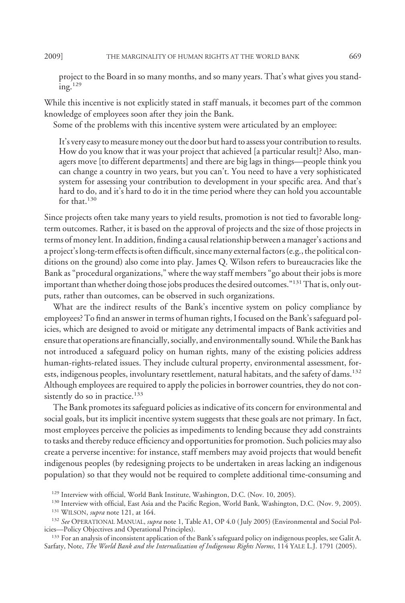project to the Board in so many months, and so many years. That's what gives you standing.129

While this incentive is not explicitly stated in staff manuals, it becomes part of the common knowledge of employees soon after they join the Bank.

Some of the problems with this incentive system were articulated by an employee:

It's very easy to measure money out the door but hard to assess your contribution to results. How do you know that it was your project that achieved [a particular result]? Also, managers move [to different departments] and there are big lags in things—people think you can change a country in two years, but you can't. You need to have a very sophisticated system for assessing your contribution to development in your specific area. And that's hard to do, and it's hard to do it in the time period where they can hold you accountable for that.<sup>130</sup>

Since projects often take many years to yield results, promotion is not tied to favorable longterm outcomes. Rather, it is based on the approval of projects and the size of those projects in terms of money lent. In addition, finding a causal relationship between a manager's actions and a project's long-term effects is often difficult, sincemany externalfactors (e.g., the political conditions on the ground) also come into play. James Q. Wilson refers to bureaucracies like the Bank as "procedural organizations," where the way staff members "go about their jobs is more important than whether doing those jobs produces the desired outcomes."<sup>131</sup> That is, only outputs, rather than outcomes, can be observed in such organizations.

What are the indirect results of the Bank's incentive system on policy compliance by employees? To find an answer in terms of human rights, I focused on the Bank's safeguard policies, which are designed to avoid or mitigate any detrimental impacts of Bank activities and ensure that operations are financially, socially, and environmentally sound.While the Bank has not introduced a safeguard policy on human rights, many of the existing policies address human-rights-related issues. They include cultural property, environmental assessment, forests, indigenous peoples, involuntary resettlement, natural habitats, and the safety of dams.<sup>132</sup> Although employees are required to apply the policies in borrower countries, they do not consistently do so in practice.<sup>133</sup>

The Bank promotes its safeguard policies as indicative of its concern for environmental and social goals, but its implicit incentive system suggests that these goals are not primary. In fact, most employees perceive the policies as impediments to lending because they add constraints to tasks and thereby reduce efficiency and opportunities for promotion. Such policies may also create a perverse incentive: for instance, staff members may avoid projects that would benefit indigenous peoples (by redesigning projects to be undertaken in areas lacking an indigenous population) so that they would not be required to complete additional time-consuming and

<sup>&</sup>lt;sup>129</sup> Interview with official, World Bank Institute, Washington, D.C. (Nov. 10, 2005).

<sup>&</sup>lt;sup>130</sup> Interview with official, East Asia and the Pacific Region, World Bank, Washington, D.C. (Nov. 9, 2005).

<sup>131</sup> WILSON, *supra* note 121, at 164.

<sup>132</sup> *See* OPERATIONAL MANUAL, *supra* note 1, Table A1, OP 4.0 ( July 2005) (Environmental and Social Policies—Policy Objectives and Operational Principles).

<sup>&</sup>lt;sup>133</sup> For an analysis of inconsistent application of the Bank's safeguard policy on indigenous peoples, see Galit A. Sarfaty, Note, *The World Bank and the Internalization of Indigenous Rights Norms*, 114 YALE L.J. 1791 (2005).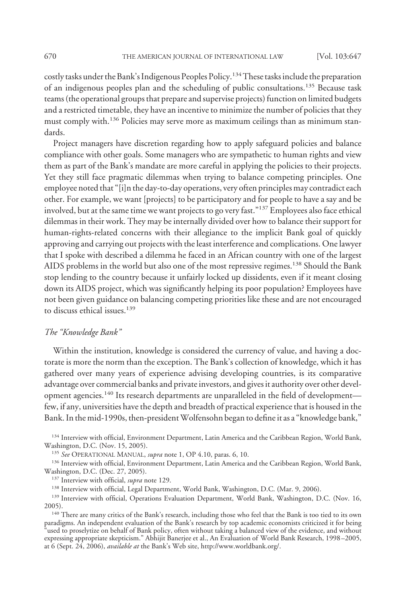costly tasks under the Bank's Indigenous Peoples Policy.<sup>134</sup> These tasks include the preparation of an indigenous peoples plan and the scheduling of public consultations.135 Because task teams (the operational groups that prepare and supervise projects) function on limited budgets and a restricted timetable, they have an incentive to minimize the number of policies that they must comply with.<sup>136</sup> Policies may serve more as maximum ceilings than as minimum standards.

Project managers have discretion regarding how to apply safeguard policies and balance compliance with other goals. Some managers who are sympathetic to human rights and view them as part of the Bank's mandate are more careful in applying the policies to their projects. Yet they still face pragmatic dilemmas when trying to balance competing principles. One employee noted that "[i]n the day-to-day operations, very often principles may contradict each other. For example, we want [projects] to be participatory and for people to have a say and be involved, but at the same time we want projects to go very fast."137 Employees also face ethical dilemmas in their work. They may be internally divided over how to balance their support for human-rights-related concerns with their allegiance to the implicit Bank goal of quickly approving and carrying out projects with the least interference and complications. One lawyer that I spoke with described a dilemma he faced in an African country with one of the largest AIDS problems in the world but also one of the most repressive regimes.138 Should the Bank stop lending to the country because it unfairly locked up dissidents, even if it meant closing down its AIDS project, which was significantly helping its poor population? Employees have not been given guidance on balancing competing priorities like these and are not encouraged to discuss ethical issues.<sup>139</sup>

#### *The "Knowledge Bank"*

Within the institution, knowledge is considered the currency of value, and having a doctorate is more the norm than the exception. The Bank's collection of knowledge, which it has gathered over many years of experience advising developing countries, is its comparative advantage over commercial banks and private investors, and gives it authority over other development agencies.<sup>140</sup> Its research departments are unparalleled in the field of development few, if any, universities have the depth and breadth of practical experience that is housed in the Bank. In the mid-1990s, then-president Wolfensohn began to define it as a "knowledge bank,"

<sup>134</sup> Interview with official, Environment Department, Latin America and the Caribbean Region, World Bank, Washington, D.C. (Nov. 15, 2005).

<sup>135</sup> *See* OPERATIONAL MANUAL, *supra* note 1, OP 4.10, paras. 6, 10.

<sup>136</sup> Interview with official, Environment Department, Latin America and the Caribbean Region, World Bank, Washington, D.C. (Dec. 27, 2005).

<sup>137</sup> Interview with official, *supra* note 129.

<sup>138</sup> Interview with official, Legal Department, World Bank, Washington, D.C. (Mar. 9, 2006).

<sup>139</sup> Interview with official, Operations Evaluation Department, World Bank, Washington, D.C. (Nov. 16, 2005).

<sup>140</sup> There are many critics of the Bank's research, including those who feel that the Bank is too tied to its own paradigms. An independent evaluation of the Bank's research by top academic economists criticized it for being "used to proselytize on behalf of Bank policy, often without taking a balanced view of the evidence, and without expressing appropriate skepticism." Abhijit Banerjee et al., An Evaluation of World Bank Research, 1998 –2005, at 6 (Sept. 24, 2006), *available at* the Bank's Web site, http://www.worldbank.org/.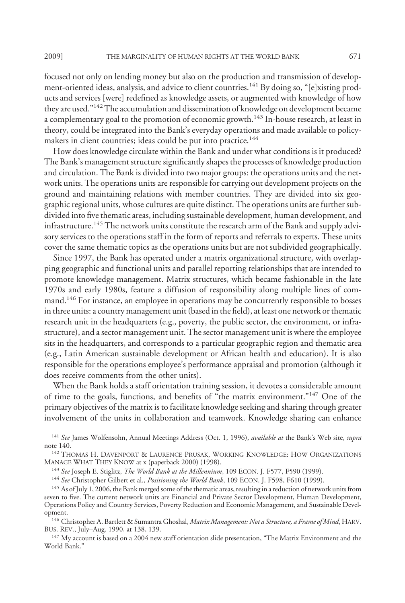focused not only on lending money but also on the production and transmission of development-oriented ideas, analysis, and advice to client countries.<sup>141</sup> By doing so, "[e]xisting products and services [were] redefined as knowledge assets, or augmented with knowledge of how they are used."142The accumulation and dissemination of knowledge on development became a complementary goal to the promotion of economic growth.<sup>143</sup> In-house research, at least in theory, could be integrated into the Bank's everyday operations and made available to policymakers in client countries; ideas could be put into practice.<sup>144</sup>

How does knowledge circulate within the Bank and under what conditions is it produced? The Bank's management structure significantly shapes the processes of knowledge production and circulation. The Bank is divided into two major groups: the operations units and the network units. The operations units are responsible for carrying out development projects on the ground and maintaining relations with member countries. They are divided into six geographic regional units, whose cultures are quite distinct. The operations units are further subdivided into five thematic areas, including sustainable development, human development, and infrastructure.<sup>145</sup> The network units constitute the research arm of the Bank and supply advisory services to the operations staff in the form of reports and referrals to experts. These units cover the same thematic topics as the operations units but are not subdivided geographically.

Since 1997, the Bank has operated under a matrix organizational structure, with overlapping geographic and functional units and parallel reporting relationships that are intended to promote knowledge management. Matrix structures, which became fashionable in the late 1970s and early 1980s, feature a diffusion of responsibility along multiple lines of command.<sup>146</sup> For instance, an employee in operations may be concurrently responsible to bosses in three units: a country management unit (based in the field), at least one network or thematic research unit in the headquarters (e.g., poverty, the public sector, the environment, or infrastructure), and a sector management unit. The sector management unit is where the employee sits in the headquarters, and corresponds to a particular geographic region and thematic area (e.g., Latin American sustainable development or African health and education). It is also responsible for the operations employee's performance appraisal and promotion (although it does receive comments from the other units).

When the Bank holds a staff orientation training session, it devotes a considerable amount of time to the goals, functions, and benefits of "the matrix environment."147 One of the primary objectives of the matrix is to facilitate knowledge seeking and sharing through greater involvement of the units in collaboration and teamwork. Knowledge sharing can enhance

<sup>141</sup> *See* James Wolfensohn, Annual Meetings Address (Oct. 1, 1996), *available at* the Bank's Web site, *supra* note 140.

<sup>142</sup> THOMAS H. DAVENPORT & LAURENCE PRUSAK, WORKING KNOWLEDGE: HOW ORGANIZATIONS MANAGE WHAT THEY KNOW at x (paperback 2000) (1998).

<sup>143</sup> *See* Joseph E. Stiglitz, *The World Bank at the Millennium*, 109 ECON. J. F577, F590 (1999).

<sup>144</sup> *See* Christopher Gilbert et al., *Positioning the World Bank*, 109 ECON. J. F598, F610 (1999).

<sup>145</sup> As of July 1, 2006, the Bank merged some of the thematic areas, resulting in a reduction of network units from seven to five. The current network units are Financial and Private Sector Development, Human Development, Operations Policy and Country Services, Poverty Reduction and Economic Management, and Sustainable Development.

<sup>146</sup> Christopher A. Bartlett & Sumantra Ghoshal, *Matrix Management: Not a Structure, a Frame of Mind*, HARV. BUS. REV., July–Aug. 1990, at 138, 139.

<sup>147</sup> My account is based on a 2004 new staff orientation slide presentation, "The Matrix Environment and the World Bank."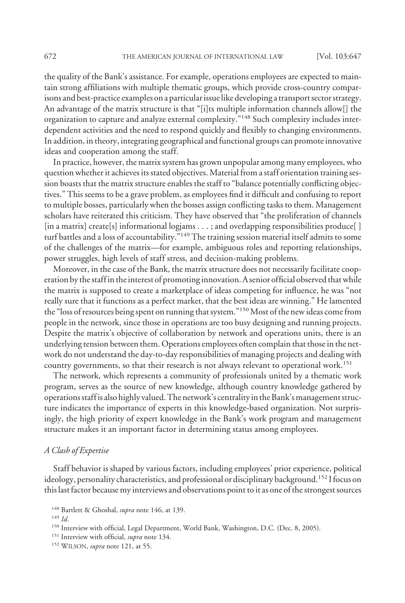the quality of the Bank's assistance. For example, operations employees are expected to maintain strong affiliations with multiple thematic groups, which provide cross-country comparisons and best-practice examples on a particular issue like developing a transport sector strategy. An advantage of the matrix structure is that "[i]ts multiple information channels allow[] the organization to capture and analyze external complexity."148 Such complexity includes interdependent activities and the need to respond quickly and flexibly to changing environments. In addition, in theory, integrating geographical and functional groups can promote innovative ideas and cooperation among the staff.

In practice, however, the matrix system has grown unpopular among many employees, who question whether it achieves its stated objectives. Material from a staff orientation training session boasts that the matrix structure enables the staff to "balance potentially conflicting objectives." This seems to be a grave problem, as employees find it difficult and confusing to report to multiple bosses, particularly when the bosses assign conflicting tasks to them. Management scholars have reiterated this criticism. They have observed that "the proliferation of channels [in a matrix] create[s] informational logjams . . . ; and overlapping responsibilities produce[ ] turf battles and a loss of accountability."<sup>149</sup> The training session material itself admits to some of the challenges of the matrix—for example, ambiguous roles and reporting relationships, power struggles, high levels of staff stress, and decision-making problems.

Moreover, in the case of the Bank, the matrix structure does not necessarily facilitate cooperation by the staff in the interest of promoting innovation. A senior official observed that while the matrix is supposed to create a marketplace of ideas competing for influence, he was "not really sure that it functions as a perfect market, that the best ideas are winning." He lamented the "loss of resources being spent on running that system."<sup>150</sup> Most of the new ideas come from people in the network, since those in operations are too busy designing and running projects. Despite the matrix's objective of collaboration by network and operations units, there is an underlying tension between them. Operations employees often complain that those in the network do not understand the day-to-day responsibilities of managing projects and dealing with country governments, so that their research is not always relevant to operational work.<sup>151</sup>

The network, which represents a community of professionals united by a thematic work program, serves as the source of new knowledge, although country knowledge gathered by operations staff is also highly valued. The network's centrality in the Bank's management structure indicates the importance of experts in this knowledge-based organization. Not surprisingly, the high priority of expert knowledge in the Bank's work program and management structure makes it an important factor in determining status among employees.

# *A Clash of Expertise*

Staff behavior is shaped by various factors, including employees' prior experience, political ideology, personality characteristics, and professional or disciplinary background.<sup>152</sup> I focus on this last factor because my interviews and observations point to it as one of the strongest sources

<sup>149</sup> *Id*.

<sup>148</sup> Bartlett & Ghoshal, *supra* note 146, at 139.

<sup>&</sup>lt;sup>150</sup> Interview with official, Legal Department, World Bank, Washington, D.C. (Dec. 8, 2005).

<sup>151</sup> Interview with official, *supra* note 134.

<sup>152</sup> WILSON, *supra* note 121, at 55.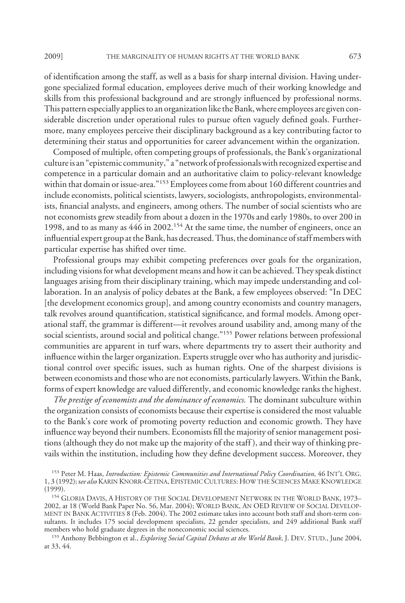of identification among the staff, as well as a basis for sharp internal division. Having undergone specialized formal education, employees derive much of their working knowledge and skills from this professional background and are strongly influenced by professional norms. This pattern especially applies to an organization like the Bank, where employees are given considerable discretion under operational rules to pursue often vaguely defined goals. Furthermore, many employees perceive their disciplinary background as a key contributing factor to determining their status and opportunities for career advancement within the organization.

Composed of multiple, often competing groups of professionals, the Bank's organizational culture is an "epistemic community," a "network of professionalswith recognized expertise and competence in a particular domain and an authoritative claim to policy-relevant knowledge within that domain or issue-area."<sup>153</sup> Employees come from about 160 different countries and include economists, political scientists, lawyers, sociologists, anthropologists, environmentalists, financial analysts, and engineers, among others. The number of social scientists who are not economists grew steadily from about a dozen in the 1970s and early 1980s, to over 200 in 1998, and to as many as 446 in 2002.154 At the same time, the number of engineers, once an influential expert group at the Bank, has decreased. Thus, the dominance of staff members with particular expertise has shifted over time.

Professional groups may exhibit competing preferences over goals for the organization, including visions for what development means and how it can be achieved. They speak distinct languages arising from their disciplinary training, which may impede understanding and collaboration. In an analysis of policy debates at the Bank, a few employees observed: "In DEC [the development economics group], and among country economists and country managers, talk revolves around quantification, statistical significance, and formal models. Among operational staff, the grammar is different—it revolves around usability and, among many of the social scientists, around social and political change."<sup>155</sup> Power relations between professional communities are apparent in turf wars, where departments try to assert their authority and influence within the larger organization. Experts struggle over who has authority and jurisdictional control over specific issues, such as human rights. One of the sharpest divisions is between economists and those who are not economists, particularly lawyers. Within the Bank, forms of expert knowledge are valued differently, and economic knowledge ranks the highest.

*The prestige of economists and the dominance of economics.* The dominant subculture within the organization consists of economists because their expertise is considered the most valuable to the Bank's core work of promoting poverty reduction and economic growth. They have influence way beyond their numbers. Economists fill the majority of senior management positions (although they do not make up the majority of the staff ), and their way of thinking prevails within the institution, including how they define development success. Moreover, they

<sup>153</sup> Peter M. Haas, *Introduction: Epistemic Communities and International Policy Coordination*, 46 INT'L ORG. 1, 3 (1992); s*ee also*KARIN KNORR-CETINA, EPISTEMIC CULTURES: HOW THE SCIENCES MAKEKNOWLEDGE (1999).

<sup>&</sup>lt;sup>154</sup> GLORIA DAVIS, A HISTORY OF THE SOCIAL DEVELOPMENT NETWORK IN THE WORLD BANK, 1973– 2002, at 18 (World Bank Paper No. 56, Mar. 2004); WORLD BANK, AN OED REVIEW OF SOCIAL DEVELOP-MENT IN BANK ACTIVITIES 8 (Feb. 2004). The 2002 estimate takes into account both staff and short-term consultants. It includes 175 social development specialists, 22 gender specialists, and 249 additional Bank staff members who hold graduate degrees in the noneconomic social sciences.

<sup>155</sup> Anthony Bebbington et al., *Exploring Social Capital Debates at the World Bank*, J. DEV. STUD., June 2004, at 33, 44.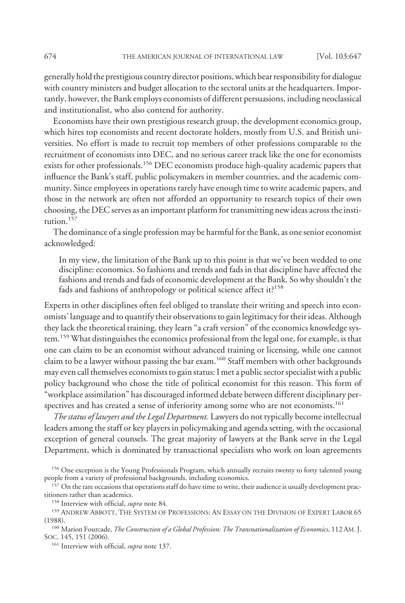generally hold the prestigious country director positions, which bear responsibilityfor dialogue with country ministers and budget allocation to the sectoral units at the headquarters. Importantly, however, the Bank employs economists of different persuasions, including neoclassical and institutionalist, who also contend for authority.

Economists have their own prestigious research group, the development economics group, which hires top economists and recent doctorate holders, mostly from U.S. and British universities. No effort is made to recruit top members of other professions comparable to the recruitment of economists into DEC, and no serious career track like the one for economists exists for other professionals.<sup>156</sup> DEC economists produce high-quality academic papers that influence the Bank's staff, public policymakers in member countries, and the academic community. Since employees in operations rarely have enough time to write academic papers, and those in the network are often not afforded an opportunity to research topics of their own choosing, the DEC serves as an important platform for transmitting new ideas across the institution $157$ 

The dominance of a single profession may be harmful for the Bank, as one senior economist acknowledged:

In my view, the limitation of the Bank up to this point is that we've been wedded to one discipline: economics. So fashions and trends and fads in that discipline have affected the fashions and trends and fads of economic development at the Bank. So why shouldn't the fads and fashions of anthropology or political science affect it?<sup>158</sup>

Experts in other disciplines often feel obliged to translate their writing and speech into economists' language and to quantify their observations to gain legitimacy for their ideas. Although they lack the theoretical training, they learn "a craft version" of the economics knowledge system.<sup>159</sup> What distinguishes the economics professional from the legal one, for example, is that one can claim to be an economist without advanced training or licensing, while one cannot claim to be a lawyer without passing the bar exam.160 Staff members with other backgrounds may even call themselves economists to gain status: I met a public sector specialist with a public policy background who chose the title of political economist for this reason. This form of "workplace assimilation" has discouraged informed debate between different disciplinary perspectives and has created a sense of inferiority among some who are not economists.<sup>161</sup>

*The status of lawyers and the Legal Department.* Lawyers do not typically become intellectual leaders among the staff or key players in policymaking and agenda setting, with the occasional exception of general counsels. The great majority of lawyers at the Bank serve in the Legal Department, which is dominated by transactional specialists who work on loan agreements

<sup>&</sup>lt;sup>156</sup> One exception is the Young Professionals Program, which annually recruits twenty to forty talented young people from a variety of professional backgrounds, including economics.

<sup>&</sup>lt;sup>157</sup> On the rare occasions that operations staff do have time to write, their audience is usually development practitioners rather than academics.

<sup>158</sup> Interview with official, *supra* note 84.

<sup>159</sup> ANDREW ABBOTT, THE SYSTEM OF PROFESSIONS: AN ESSAY ON THE DIVISION OF EXPERT LABOR 65 (1988).

<sup>160</sup> Marion Fourcade, *The Construction of a Global Profession: The Transnationalization of Economics*, 112 AM. J. SOC. 145, 151 (2006).

<sup>161</sup> Interview with official, *supra* note 137.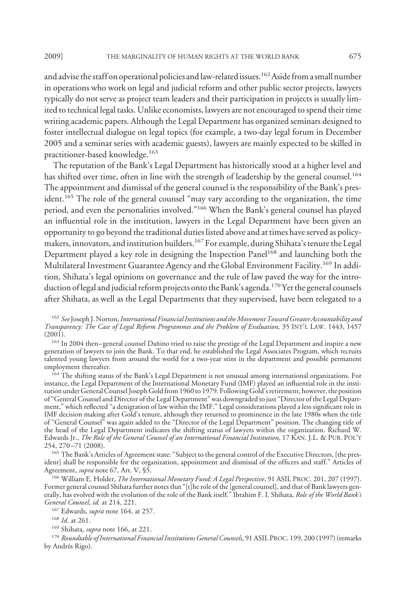and advise the staff on operational policies and law-related issues.<sup>162</sup> Aside from a small number in operations who work on legal and judicial reform and other public sector projects, lawyers typically do not serve as project team leaders and their participation in projects is usually limited to technical legal tasks. Unlike economists, lawyers are not encouraged to spend their time writing academic papers. Although the Legal Department has organized seminars designed to foster intellectual dialogue on legal topics (for example, a two-day legal forum in December 2005 and a seminar series with academic guests), lawyers are mainly expected to be skilled in practitioner-based knowledge.163

The reputation of the Bank's Legal Department has historically stood at a higher level and has shifted over time, often in line with the strength of leadership by the general counsel.<sup>164</sup> The appointment and dismissal of the general counsel is the responsibility of the Bank's president.<sup>165</sup> The role of the general counsel "may vary according to the organization, the time period, and even the personalities involved."166 When the Bank's general counsel has played an influential role in the institution, lawyers in the Legal Department have been given an opportunity to go beyond the traditional duties listed above and at times have served as policymakers, innovators, and institution builders.<sup>167</sup> For example, during Shihata's tenure the Legal Department played a key role in designing the Inspection Panel<sup>168</sup> and launching both the Multilateral Investment Guarantee Agency and the Global Environment Facility.<sup>169</sup> In addition, Shihata's legal opinions on governance and the rule of law paved the way for the introduction of legal and judicial reform projects onto the Bank's agenda.<sup>170</sup> Yet the general counsels after Shihata, as well as the Legal Departments that they supervised, have been relegated to a

<sup>162</sup> *See*Joseph J. Norton,*International Financial Institutions andtheMovement Toward Greater Accountability and Transparency: The Case of Legal Reform Programmes and the Problem of Evaluation*, 35 INT'L LAW. 1443, 1457 (2001).

<sup>163</sup> In 2004 then–general counsel Dañino tried to raise the prestige of the Legal Department and inspire a new generation of lawyers to join the Bank. To that end, he established the Legal Associates Program, which recruits talented young lawyers from around the world for a two-year stint in the department and possible permanent employment thereafter.

<sup>164</sup> The shifting status of the Bank's Legal Department is not unusual among international organizations. For instance, the Legal Department of the International Monetary Fund (IMF) played an influential role in the institution under General Counsel Joseph Goldfrom 1960 to 1979. Following Gold's retirement, however, the position of "General Counsel and Director of the Legal Department" was downgraded to just "Director of the Legal Department," which reflected "a denigration of law within the IMF." Legal considerations played a less significant role in IMF decision making after Gold's tenure, although they returned to prominence in the late 1980s when the title of "General Counsel" was again added to the "Director of the Legal Department" position. The changing title of the head of the Legal Department indicates the shifting status of lawyers within the organization. Richard W. Edwards Jr., *The Role of the General Counsel of an International Financial Institution*, 17 KAN. J.L. & PUB. POL'Y 254, 270 –71 (2008).

<sup>165</sup> The Bank's Articles of Agreement state: "Subject to the general control of the Executive Directors, [the president] shall be responsible for the organization, appointment and dismissal of the officers and staff." Articles of Agreement, *supra* note 67, Art. V, §5.

<sup>166</sup> William E. Holder, *The International Monetary Fund: A Legal Perspective*, 91 ASIL PROC. 201, 207 (1997). Former general counsel Shihata further notes that "[t]he role of the [general counsel], and that of Bank lawyers generally, has evolved with the evolution of the role of the Bank itself." Ibrahim F. I. Shihata, *Role of the World Bank's General Counsel*, *id.* at 214, 221.

<sup>167</sup> Edwards, *supra* note 164, at 257.

<sup>168</sup> *Id*. at 261.

<sup>169</sup> Shihata, *supra* note 166, at 221.

<sup>170</sup> Roundtable of International Financial Institutions General Counsels, 91 ASIL PROC. 199, 200 (1997) (remarks by Andrés Rigo).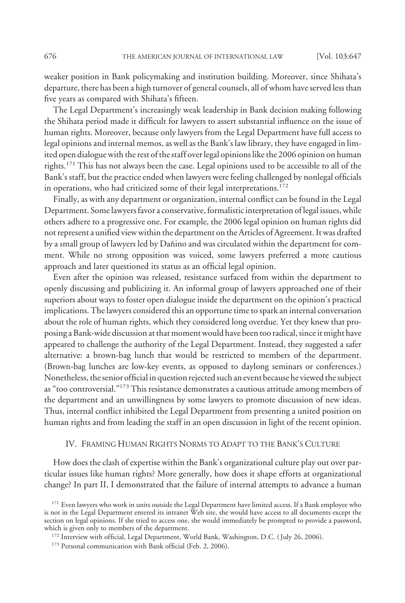weaker position in Bank policymaking and institution building. Moreover, since Shihata's departure, there has been a high turnover of general counsels, all of whom have served less than five years as compared with Shihata's fifteen.

The Legal Department's increasingly weak leadership in Bank decision making following the Shihata period made it difficult for lawyers to assert substantial influence on the issue of human rights. Moreover, because only lawyers from the Legal Department have full access to legal opinions and internal memos, as well as the Bank's law library, they have engaged in limited open dialogue with the rest of the staff over legal opinions like the 2006 opinion on human rights.<sup>171</sup> This has not always been the case. Legal opinions used to be accessible to all of the Bank's staff, but the practice ended when lawyers were feeling challenged by nonlegal officials in operations, who had criticized some of their legal interpretations.<sup>172</sup>

Finally, as with any department or organization, internal conflict can be found in the Legal Department. Some lawyers favor a conservative, formalistic interpretation of legal issues, while others adhere to a progressive one. For example, the 2006 legal opinion on human rights did not represent a unified view within the department on the Articles of Agreement. It was drafted by a small group of lawyers led by Dañino and was circulated within the department for comment. While no strong opposition was voiced, some lawyers preferred a more cautious approach and later questioned its status as an official legal opinion.

Even after the opinion was released, resistance surfaced from within the department to openly discussing and publicizing it. An informal group of lawyers approached one of their superiors about ways to foster open dialogue inside the department on the opinion's practical implications. The lawyers considered this an opportune time to spark an internal conversation about the role of human rights, which they considered long overdue. Yet they knew that proposing a Bank-wide discussion at that moment would have been too radical, since it might have appeared to challenge the authority of the Legal Department. Instead, they suggested a safer alternative: a brown-bag lunch that would be restricted to members of the department. (Brown-bag lunches are low-key events, as opposed to daylong seminars or conferences.) Nonetheless, the senior official in question rejected such an event because he viewed the subject as "too controversial."173 This resistance demonstrates a cautious attitude among members of the department and an unwillingness by some lawyers to promote discussion of new ideas. Thus, internal conflict inhibited the Legal Department from presenting a united position on human rights and from leading the staff in an open discussion in light of the recent opinion.

#### IV. FRAMING HUMAN RIGHTS NORMS TO ADAPT TO THE BANK'S CULTURE

How does the clash of expertise within the Bank's organizational culture play out over particular issues like human rights? More generally, how does it shape efforts at organizational change? In part II, I demonstrated that the failure of internal attempts to advance a human

<sup>&</sup>lt;sup>171</sup> Even lawyers who work in units outside the Legal Department have limited access. If a Bank employee who is not in the Legal Department entered its intranet Web site, she would have access to all documents except the section on legal opinions. If she tried to access one, she would immediately be prompted to provide a password, which is given only to members of the department.

<sup>&</sup>lt;sup>172</sup> Interview with official, Legal Department, World Bank, Washington, D.C. (July 26, 2006).

<sup>&</sup>lt;sup>173</sup> Personal communication with Bank official (Feb. 2, 2006).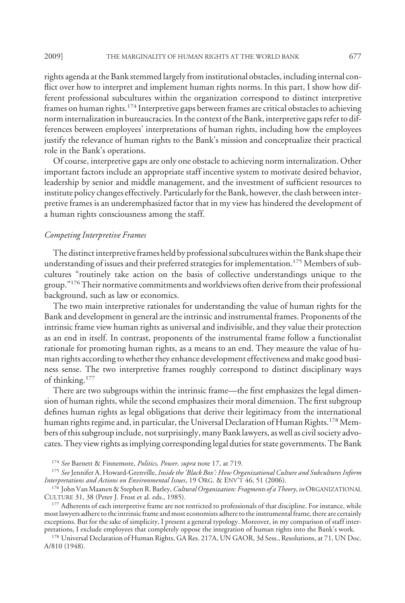rights agenda at the Bank stemmed largely from institutional obstacles, including internal conflict over how to interpret and implement human rights norms. In this part, I show how different professional subcultures within the organization correspond to distinct interpretive frames on human rights.<sup>174</sup> Interpretive gaps between frames are critical obstacles to achieving norm internalization in bureaucracies. In the context of the Bank, interpretive gaps refer to differences between employees' interpretations of human rights, including how the employees justify the relevance of human rights to the Bank's mission and conceptualize their practical role in the Bank's operations.

Of course, interpretive gaps are only one obstacle to achieving norm internalization. Other important factors include an appropriate staff incentive system to motivate desired behavior, leadership by senior and middle management, and the investment of sufficient resources to institute policy changes effectively. Particularlyfor the Bank, however, the clash between interpretive frames is an underemphasized factor that in my view has hindered the development of a human rights consciousness among the staff.

#### *Competing Interpretive Frames*

The distinct interpretive frames held by professional subcultures within the Bank shape their understanding of issues and their preferred strategies for implementation.<sup>175</sup> Members of subcultures "routinely take action on the basis of collective understandings unique to the group."176Their normative commitments and worldviews often derive from their professional background, such as law or economics.

The two main interpretive rationales for understanding the value of human rights for the Bank and development in general are the intrinsic and instrumental frames. Proponents of the intrinsic frame view human rights as universal and indivisible, and they value their protection as an end in itself. In contrast, proponents of the instrumental frame follow a functionalist rationale for promoting human rights, as a means to an end. They measure the value of human rights according to whether they enhance development effectiveness and make good business sense. The two interpretive frames roughly correspond to distinct disciplinary ways of thinking.177

There are two subgroups within the intrinsic frame—the first emphasizes the legal dimension of human rights, while the second emphasizes their moral dimension. The first subgroup defines human rights as legal obligations that derive their legitimacy from the international human rights regime and, in particular, the Universal Declaration of Human Rights.<sup>178</sup> Members of this subgroup include, not surprisingly, many Bank lawyers, as well as civil society advocates. They view rights as implying corresponding legal dutiesfor state governments. The Bank

<sup>174</sup> *See* Barnett & Finnemore, *Politics, Power, supra* note 17, at 719.

<sup>175</sup> *See* Jennifer A. Howard-Grenville, *Inside the 'Black Box': How Organizational Culture and Subcultures Inform Interpretations and Actions on Environmental Issues*, 19 ORG.&ENV'T 46, 51 (2006).

<sup>176</sup> John VanMaanen & Stephen R. Barley,*Cultural Organization: Fragments of a Theory*, *in*ORGANIZATIONAL CULTURE 31, 38 (Peter J. Frost et al. eds., 1985).

<sup>177</sup> Adherents of each interpretive frame are not restricted to professionals of that discipline. For instance, while most lawyers adhere to the intrinsic frame and most economists adhere to the instrumental frame, there are certainly exceptions. But for the sake of simplicity, I present a general typology. Moreover, in my comparison of staff interpretations, I exclude employees that completely oppose the integration of human rights into the Bank's work.

178 Universal Declaration of Human Rights, GA Res. 217A, UN GAOR, 3d Sess., Resolutions, at 71, UN Doc. A/810 (1948).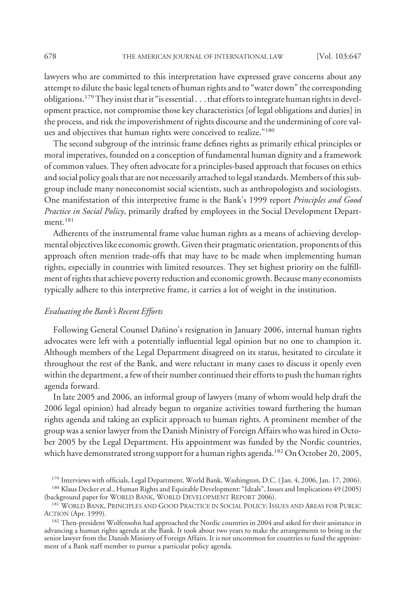lawyers who are committed to this interpretation have expressed grave concerns about any attempt to dilute the basic legal tenets of human rights and to "water down" the corresponding obligations.179They insist that it "is essential . . . that efforts to integrate human rights in development practice, not compromise those key characteristics [of legal obligations and duties] in the process, and risk the impoverishment of rights discourse and the undermining of core values and objectives that human rights were conceived to realize."180

The second subgroup of the intrinsic frame defines rights as primarily ethical principles or moral imperatives, founded on a conception of fundamental human dignity and a framework of common values. They often advocate for a principles-based approach that focuses on ethics and social policy goals that are not necessarily attached to legal standards. Members of this subgroup include many noneconomist social scientists, such as anthropologists and sociologists. One manifestation of this interpretive frame is the Bank's 1999 report *Principles and Good Practice in Social Policy*, primarily drafted by employees in the Social Development Department $^{181}$ 

Adherents of the instrumental frame value human rights as a means of achieving developmental objectives like economic growth. Given their pragmatic orientation, proponents of this approach often mention trade-offs that may have to be made when implementing human rights, especially in countries with limited resources. They set highest priority on the fulfillment of rights that achieve poverty reduction and economic growth. Because many economists typically adhere to this interpretive frame, it carries a lot of weight in the institution.

## *Evaluating the Bank's Recent Efforts*

Following General Counsel Dañino's resignation in January 2006, internal human rights advocates were left with a potentially influential legal opinion but no one to champion it. Although members of the Legal Department disagreed on its status, hesitated to circulate it throughout the rest of the Bank, and were reluctant in many cases to discuss it openly even within the department, a few of their number continued their efforts to push the human rights agenda forward.

In late 2005 and 2006, an informal group of lawyers (many of whom would help draft the 2006 legal opinion) had already begun to organize activities toward furthering the human rights agenda and taking an explicit approach to human rights. A prominent member of the group was a senior lawyer from the Danish Ministry of Foreign Affairs who was hired in October 2005 by the Legal Department. His appointment was funded by the Nordic countries, which have demonstrated strong support for a human rights agenda.<sup>182</sup> On October 20, 2005,

<sup>&</sup>lt;sup>179</sup> Interviews with officials, Legal Department, World Bank, Washington, D.C. (Jan. 4, 2006, Jan. 17, 2006).

<sup>180</sup> Klaus Decker et al., Human Rights and Equitable Development: "Ideals", Issues and Implications 49 (2005) (background paper for WORLD BANK, WORLD DEVELOPMENT REPORT 2006).

<sup>&</sup>lt;sup>181</sup> WORLD BANK, PRINCIPLES AND GOOD PRACTICE IN SOCIAL POLICY: ISSUES AND AREAS FOR PUBLIC ACTION (Apr. 1999).

<sup>&</sup>lt;sup>182</sup> Then-president Wolfensohn had approached the Nordic countries in 2004 and asked for their assistance in advancing a human rights agenda at the Bank. It took about two years to make the arrangements to bring in the senior lawyer from the Danish Ministry of Foreign Affairs. It is not uncommon for countries to fund the appointment of a Bank staff member to pursue a particular policy agenda.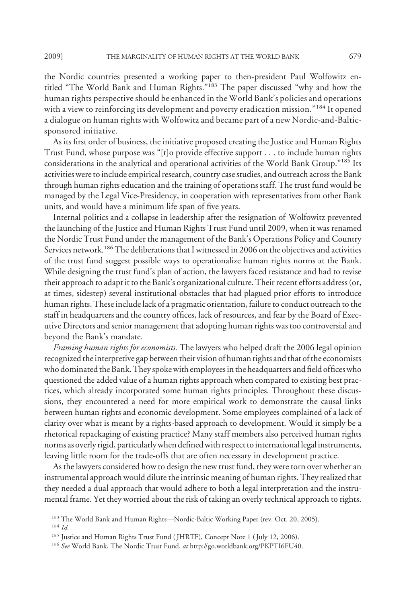the Nordic countries presented a working paper to then-president Paul Wolfowitz entitled "The World Bank and Human Rights."183 The paper discussed "why and how the human rights perspective should be enhanced in the World Bank's policies and operations with a view to reinforcing its development and poverty eradication mission."<sup>184</sup> It opened a dialogue on human rights with Wolfowitz and became part of a new Nordic-and-Balticsponsored initiative.

As its first order of business, the initiative proposed creating the Justice and Human Rights Trust Fund, whose purpose was "[t]o provide effective support . . . to include human rights considerations in the analytical and operational activities of the World Bank Group."185 Its activities were to include empirical research, country case studies, and outreach across the Bank through human rights education and the training of operations staff. The trust fund would be managed by the Legal Vice-Presidency, in cooperation with representatives from other Bank units, and would have a minimum life span of five years.

Internal politics and a collapse in leadership after the resignation of Wolfowitz prevented the launching of the Justice and Human Rights Trust Fund until 2009, when it was renamed the Nordic Trust Fund under the management of the Bank's Operations Policy and Country Services network.<sup>186</sup> The deliberations that I witnessed in 2006 on the objectives and activities of the trust fund suggest possible ways to operationalize human rights norms at the Bank. While designing the trust fund's plan of action, the lawyers faced resistance and had to revise their approach to adapt it to the Bank's organizational culture. Their recent efforts address (or, at times, sidestep) several institutional obstacles that had plagued prior efforts to introduce human rights. These include lack of a pragmatic orientation, failure to conduct outreach to the staff in headquarters and the country offices, lack of resources, and fear by the Board of Executive Directors and senior management that adopting human rights was too controversial and beyond the Bank's mandate.

*Framing human rights for economists.* The lawyers who helped draft the 2006 legal opinion recognized the interpretive gap between their vision of human rights and that of the economists who dominated the Bank. They spoke with employees in the headquarters and field offices who questioned the added value of a human rights approach when compared to existing best practices, which already incorporated some human rights principles. Throughout these discussions, they encountered a need for more empirical work to demonstrate the causal links between human rights and economic development. Some employees complained of a lack of clarity over what is meant by a rights-based approach to development. Would it simply be a rhetorical repackaging of existing practice? Many staff members also perceived human rights norms as overly rigid, particularly when defined with respect to international legal instruments, leaving little room for the trade-offs that are often necessary in development practice.

As the lawyers considered how to design the new trust fund, they were torn over whether an instrumental approach would dilute the intrinsic meaning of human rights. They realized that they needed a dual approach that would adhere to both a legal interpretation and the instrumental frame. Yet they worried about the risk of taking an overly technical approach to rights.

<sup>&</sup>lt;sup>183</sup> The World Bank and Human Rights—Nordic-Baltic Working Paper (rev. Oct. 20, 2005).

<sup>184</sup> *Id*.

<sup>&</sup>lt;sup>185</sup> Justice and Human Rights Trust Fund (JHRTF), Concept Note 1 (July 12, 2006).

<sup>186</sup> *See* World Bank, The Nordic Trust Fund, *at* http://go.worldbank.org/PKPTI6FU40.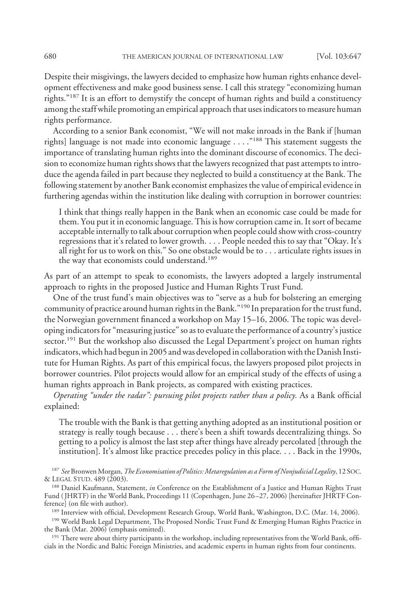Despite their misgivings, the lawyers decided to emphasize how human rights enhance development effectiveness and make good business sense. I call this strategy "economizing human rights."<sup>187</sup> It is an effort to demystify the concept of human rights and build a constituency among the staff while promoting an empirical approach that uses indicators to measure human rights performance.

According to a senior Bank economist, "We will not make inroads in the Bank if [human rights] language is not made into economic language . . . ."188 This statement suggests the importance of translating human rights into the dominant discourse of economics. The decision to economize human rights shows that the lawyers recognized that past attempts to introduce the agenda failed in part because they neglected to build a constituency at the Bank. The following statement by another Bank economist emphasizes the value of empirical evidence in furthering agendas within the institution like dealing with corruption in borrower countries:

I think that things really happen in the Bank when an economic case could be made for them. You put it in economic language. This is how corruption came in. It sort of became acceptable internally to talk about corruption when people could show with cross-country regressions that it's related to lower growth.... People needed this to say that "Okay. It's all right for us to work on this." So one obstacle would be to . . . articulate rights issues in the way that economists could understand.<sup>189</sup>

As part of an attempt to speak to economists, the lawyers adopted a largely instrumental approach to rights in the proposed Justice and Human Rights Trust Fund.

One of the trust fund's main objectives was to "serve as a hub for bolstering an emerging community of practice around human rights in the Bank."190 In preparation for the trust fund, the Norwegian government financed a workshop on May 15–16, 2006. The topic was developing indicators for "measuring justice" so as to evaluate the performance of a country's justice sector.<sup>191</sup> But the workshop also discussed the Legal Department's project on human rights indicators, which had begun in 2005 and was developed in collaboration with the Danish Institute for Human Rights. As part of this empirical focus, the lawyers proposed pilot projects in borrower countries. Pilot projects would allow for an empirical study of the effects of using a human rights approach in Bank projects, as compared with existing practices.

*Operating "under the radar": pursuing pilot projects rather than a policy.* As a Bank official explained:

The trouble with the Bank is that getting anything adopted as an institutional position or strategy is really tough because . . . there's been a shift towards decentralizing things. So getting to a policy is almost the last step after things have already percolated [through the institution]. It's almost like practice precedes policy in this place.... Back in the 1990s,

<sup>187</sup> *See* Bronwen Morgan,*The Economisation of Politics: Metaregulation as a Form of Nonjudicial Legality*, 12 SOC. & LEGAL STUD. 489 (2003).

<sup>188</sup> Daniel Kaufmann, Statement, *in* Conference on the Establishment of a Justice and Human Rights Trust Fund ( JHRTF) in the World Bank, Proceedings 11 (Copenhagen, June 26 –27, 2006) [hereinafter JHRTF Conference] (on file with author).

<sup>189</sup> Interview with official, Development Research Group, World Bank, Washington, D.C. (Mar. 14, 2006).

<sup>190</sup> World Bank Legal Department, The Proposed Nordic Trust Fund & Emerging Human Rights Practice in the Bank (Mar. 2006) (emphasis omitted).

<sup>191</sup> There were about thirty participants in the workshop, including representatives from the World Bank, officials in the Nordic and Baltic Foreign Ministries, and academic experts in human rights from four continents.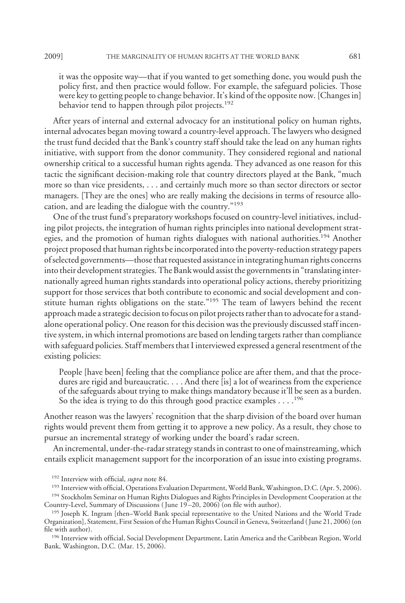it was the opposite way—that if you wanted to get something done, you would push the policy first, and then practice would follow. For example, the safeguard policies. Those were key to getting people to change behavior. It's kind of the opposite now. [Changes in] behavior tend to happen through pilot projects.<sup>192</sup>

After years of internal and external advocacy for an institutional policy on human rights, internal advocates began moving toward a country-level approach. The lawyers who designed the trust fund decided that the Bank's country staff should take the lead on any human rights initiative, with support from the donor community. They considered regional and national ownership critical to a successful human rights agenda. They advanced as one reason for this tactic the significant decision-making role that country directors played at the Bank, "much more so than vice presidents, . . . and certainly much more so than sector directors or sector managers. [They are the ones] who are really making the decisions in terms of resource allocation, and are leading the dialogue with the country."193

One of the trust fund's preparatory workshops focused on country-level initiatives, including pilot projects, the integration of human rights principles into national development strategies, and the promotion of human rights dialogues with national authorities.<sup>194</sup> Another project proposed that human rights be incorporated into the poverty-reduction strategy papers of selected governments—those that requested assistance in integrating human rights concerns into their development strategies. The Bank would assist the governments in "translating internationally agreed human rights standards into operational policy actions, thereby prioritizing support for those services that both contribute to economic and social development and constitute human rights obligations on the state."195 The team of lawyers behind the recent approach made a strategic decision to focus on pilot projects rather than to advocate for a standalone operational policy. One reason for this decision was the previously discussed staff incentive system, in which internal promotions are based on lending targets rather than compliance with safeguard policies. Staff members that I interviewed expressed a general resentment of the existing policies:

People [have been] feeling that the compliance police are after them, and that the procedures are rigid and bureaucratic. . . . And there [is] a lot of weariness from the experience of the safeguards about trying to make things mandatory because it'll be seen as a burden. So the idea is trying to do this through good practice examples  $\dots$ .<sup>196</sup>

Another reason was the lawyers' recognition that the sharp division of the board over human rights would prevent them from getting it to approve a new policy. As a result, they chose to pursue an incremental strategy of working under the board's radar screen.

An incremental, under-the-radar strategy stands in contrast to one of mainstreaming, which entails explicit management support for the incorporation of an issue into existing programs.

<sup>193</sup> Interview with official, Operations Evaluation Department, World Bank, Washington, D.C. (Apr. 5, 2006).

<sup>196</sup> Interview with official, Social Development Department, Latin America and the Caribbean Region, World Bank, Washington, D.C. (Mar. 15, 2006).

<sup>192</sup> Interview with official, *supra* note 84.

<sup>&</sup>lt;sup>194</sup> Stockholm Seminar on Human Rights Dialogues and Rights Principles in Development Cooperation at the Country-Level, Summary of Discussions (June 19-20, 2006) (on file with author).

<sup>195</sup> Joseph K. Ingram [then–World Bank special representative to the United Nations and the World Trade Organization], Statement, First Session of the Human Rights Council in Geneva, Switzerland ( June 21, 2006) (on file with author).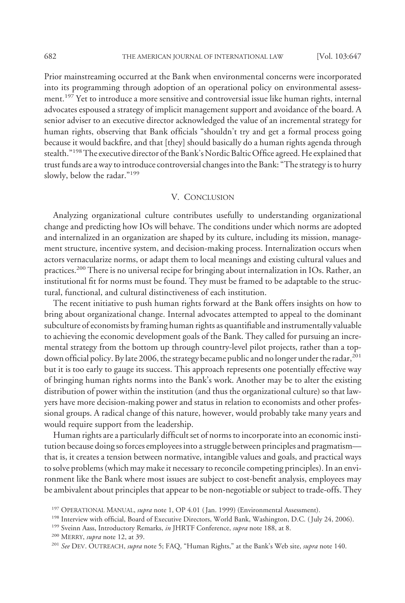Prior mainstreaming occurred at the Bank when environmental concerns were incorporated into its programming through adoption of an operational policy on environmental assessment.<sup>197</sup> Yet to introduce a more sensitive and controversial issue like human rights, internal advocates espoused a strategy of implicit management support and avoidance of the board. A senior adviser to an executive director acknowledged the value of an incremental strategy for human rights, observing that Bank officials "shouldn't try and get a formal process going because it would backfire, and that [they] should basically do a human rights agenda through stealth."<sup>198</sup>The executive director of the Bank's Nordic Baltic Office agreed. He explained that trust funds are a way to introduce controversial changes into the Bank: "The strategy is to hurry slowly, below the radar."199

## V. CONCLUSION

Analyzing organizational culture contributes usefully to understanding organizational change and predicting how IOs will behave. The conditions under which norms are adopted and internalized in an organization are shaped by its culture, including its mission, management structure, incentive system, and decision-making process. Internalization occurs when actors vernacularize norms, or adapt them to local meanings and existing cultural values and practices.200 There is no universal recipe for bringing about internalization in IOs. Rather, an institutional fit for norms must be found. They must be framed to be adaptable to the structural, functional, and cultural distinctiveness of each institution.

The recent initiative to push human rights forward at the Bank offers insights on how to bring about organizational change. Internal advocates attempted to appeal to the dominant subculture of economists by framing human rights as quantifiable and instrumentally valuable to achieving the economic development goals of the Bank. They called for pursuing an incremental strategy from the bottom up through country-level pilot projects, rather than a topdown official policy. By late 2006, the strategy became public and no longer under the radar,<sup>201</sup> but it is too early to gauge its success. This approach represents one potentially effective way of bringing human rights norms into the Bank's work. Another may be to alter the existing distribution of power within the institution (and thus the organizational culture) so that lawyers have more decision-making power and status in relation to economists and other professional groups. A radical change of this nature, however, would probably take many years and would require support from the leadership.

Human rights are a particularly difficult set of norms to incorporate into an economic institution because doing so forces employees into a struggle between principles and pragmatism that is, it creates a tension between normative, intangible values and goals, and practical ways to solve problems (which may make it necessary to reconcile competing principles). In an environment like the Bank where most issues are subject to cost-benefit analysis, employees may be ambivalent about principles that appear to be non-negotiable or subject to trade-offs. They

<sup>&</sup>lt;sup>197</sup> OPERATIONAL MANUAL, *supra* note 1, OP 4.01 (Jan. 1999) (Environmental Assessment).

<sup>&</sup>lt;sup>198</sup> Interview with official, Board of Executive Directors, World Bank, Washington, D.C. (July 24, 2006).

<sup>199</sup> Sveinn Aass, Introductory Remarks, *in* JHRTF Conference, *supra* note 188, at 8.

<sup>200</sup> MERRY, *supra* note 12, at 39.

<sup>201</sup> *See* DEV. OUTREACH, *supra* note 5; FAQ, "Human Rights," at the Bank's Web site, *supra* note 140.